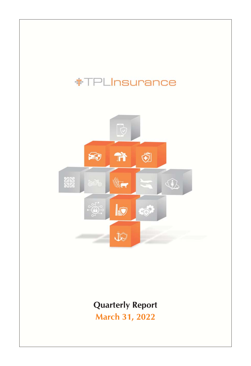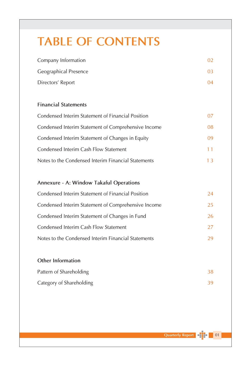# **TABLE OF CONTENTS**

| Company Information   |    |
|-----------------------|----|
| Geographical Presence | በ3 |
| Directors' Report     | 04 |

# **Financial Statements**

| Condensed Interim Statement of Financial Position   |     |
|-----------------------------------------------------|-----|
| Condensed Interim Statement of Comprehensive Income | 08. |
| Condensed Interim Statement of Changes in Equity    | 09  |
| Condensed Interim Cash Flow Statement               | 11  |
| Notes to the Condensed Interim Financial Statements |     |

# Annexure - A: Window Takaful Operations

| Condensed Interim Statement of Financial Position   | 24  |
|-----------------------------------------------------|-----|
| Condensed Interim Statement of Comprehensive Income | 25  |
| Condensed Interim Statement of Changes in Fund      | 26. |
| Condensed Interim Cash Flow Statement               | 27  |
| Notes to the Condensed Interim Financial Statements | 29  |

# Other Information

| Pattern of Shareholding  |  |
|--------------------------|--|
| Category of Shareholding |  |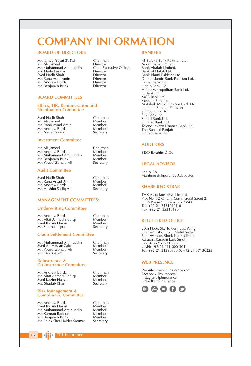# **COMPANY INFORMATION**

#### **BOARD OF DIRECTORS**

- Mr. Jameel Yusuf (S. St.) Mr. Ali Jameel Mr. Muhammad Aminuddin Ms. Naila Kassim Sved Nadir Shah Mr. Rana Asad Amin Mr. Andrew Borda Mr. Benjamin Brink
- Chairman Director Chief Executive Officer Director Director Director Director Director

#### **BOARD COMMITTEES**

#### Ethics, HR, Remuneration and **Nomination Committee**

Syed Nadir Shah Mr. Ali Jameel Mr. Rana Assad Amin Mr. Andrew Borda Mr. Nader Nawaz

Chairman Member Mombor Member Secretary

Chairman Member

Member Member Secretary

#### **Investment Committee**

| Mr. Ali Jameel         |
|------------------------|
| Mr. Andrew Borda       |
| Mr. Muhammad Aminuddin |
| Mr. Benjamin Brink     |
| Mr. Yousuf Zohaib Ali  |

#### **Audit Committee**

Syed Nadir Shah Chairman Mr. Rana Assad Amin Member Mr. Andrew Borda Member Mr. Hashim Sadiq Ali Secretary

#### **MANAGEMENT COMMITTEES:**

#### **Underwriting Committee**

Mr. Andrew Borda Chairman Mr. Altaf Ahmed Siddigi Member Syed Kazim Hasan Member Mr. Shumail Iqbal Secretary

#### **Claim Settlement Committee**

Mr. Muhammad Aminuddin Syed Ali Hassan Zaidi Mr. Yousuf Zohaib Ali Mr. Ovais Alam

Chairman Mombor Mombor Secretary

#### Reinsurance & **Co-insurance Committee**

Mr. Andrew Borda Mr. Altaf Ahmed Siddigi Sved Kazim Hassan Ms. Shadab Khan

Chairman Member Member Secretary

Chairman

Member

Member

Member

Member

Secretary

#### **Risk Management & Compliance Committee**

Mr. Andrew Borda Syed Kazim Hasan Mr. Muhammad Aminuddin Mr. Kamran Rafigue Mr. Benjamin Brink Mr. Falak Sher Haider Soomro

**TPL Insurance** 

# Al-Baraka Bank Pakistan Ltd.

**BANKERS** 

Askari Bank Limited **Bank Alfalah Limited** Bank Al Habib Ltd. Bank Hallman Eta.<br>Bank Islami Pakistan Ltd. Dubai Islamic Bank Pakistan Ltd. Basar Brame Be<br>Favsal Bank Ltd. Habib Bank Ltd. Habib Metropolitan Bank Ltd. IS Bank Ltd. MCB Bank Ltd. Meezan Bank Ltd. Mobilink Micro Finance Bank Ltd.<br>National Bank of Pakistan Samba Bank Ltd Silk Bank Ltd. Soneri Bank Ltd. Summit Bank Ltd. Telenor Micro Finance Bank Ltd. The Bank of Punjab United Bank Ltd.

#### **AUDITORS**

BDO Ebrahim & Co.

#### **LEGAL ADVISOR**

 $l$ ari &  $Co$ Maritime & Insurance Advocates

#### **SHARE REGISTRAR**

THK Associates (Pvt) Limited Plot No. 32-C, Jami Commercial Street 2,<br>DHA Phase VII, Karachi - 75500 Tel: +92-21-35310191-6 Fax: +92-21-35310190

#### **REGISTERED OFFICE**

20th Floor, Sky Tower - East Wing<br>Dolmen City, HC-3, Abdul Sattar<br>Edhi Avenue, Block No. 4 Clifton Karachi, Karachi East, Sindh<br>Fax: +92-21-35316032 UAN: +92-21-111-000-301  $\frac{1}{2}$ 

#### **WEB PRESENCE**

Website: www.tplinsurance.com Facebook: insurancetpl Instagram: tplinsurance LinkedIn: tplinsurance



 $02$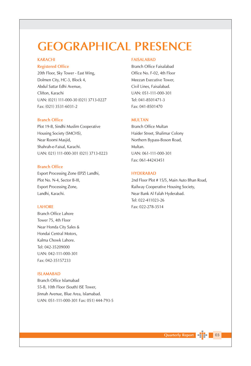# **GEOGRAPHICAL PRESENCE**

## **KARACHI**

### **Registered Office**

20th Floor, Sky Tower - East Wing, Dolmen City, HC-3, Block 4, Abdul Sattar Edhi Avenue, Clifton, Karachi UAN: (021) 111-000-30 (021) 3713-0227 Fax: (021) 3531-6031-2

#### **Branch Office**

Plot 19-B, Sindhi Muslim Cooperative Housing Society (SMCHS), Near Roomi Masjid, Shahrah-e-Faisal, Karachi. UAN: 021) 111-000-301 (021) 3713-0223

#### **Branch Office**

Export Processing Zone (EPZ) Landhi, Plot No. N-4, Sector B-III, Export Processing Zone, Landhi, Karachi.

## **LAHORE**

**Branch Office Lahore** Tower 75, 4th Floor Near Honda City Sales & Hondai Central Motors. Kalma Chowk Lahore. Tel: 042-35209000 UAN: 042-111-000-301 Fax: 042-35157233

## **ISLAMABAD**

Branch Office Islamabad 55-B, 10th Floor (South) ISE Tower, Jinnah Avenue, Blue Area, Islamabad. UAN: 051-111-000-301 Fax: 051) 444-793-5

#### **FAISALABAD**

Branch Office Faisalabad Office No. F-02, 4th Floor Meezan Executive Tower, Civil Lines, Faisalabad. UAN: 051-111-000-301 Tel: 041-8501471-3 Fax: 041-8501470

#### **MULTAN**

**Branch Office Multan** Haider Street, Shalimar Colony Northern Bypass-Boson Road, Multan. UAN: 061-111-000-301 Fax: 061-44243451

#### **HYDERABAD**

2nd Floor Plot # 15/5, Main Auto Bhan Road, Railway Cooperative Housing Society, Near Bank Al Falah Hyderabad. Tel: 022-411023-26 Fax: 022-278-3514



 $\blacksquare$  03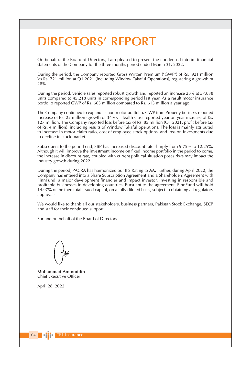# **DIRECTORS' REPORT**

On behalf of the Board of Directors, I am pleased to present the condensed interim financial statements of the Company for the three months period ended March 31, 2022.

During the period, the Company reported Gross Written Premium ("GWP") of Rs. 921 million Vs Rs. 721 million at Q1 2021 (including Window Takaful Operations), registering a growth of 28%.

During the period, vehicle sales reported robust growth and reported an increase 28% at 57,838 units compared to 45,218 units in corresponding period last year. As a result motor insurance portfolio reported GWP of Rs. 663 million compared to Rs. 613 million a year ago.

The Company continued to expand its non-motor portfolio. GWP from Property business reported increase of Rs. 22 million (growth of 34%). Health class reported year on year increase of Rs. 127 million. The Company reported loss before tax of Rs. 85 million (Q1 2021: profit before tax of Rs. 4 million), including results of Window Takaful operations. The loss is mainly attributed to increase in motor claim ratio, cost of employee stock options, and loss on investments due to decline in stock market.

Subsequent to the period end, SBP has increased discount rate sharply from 9.75% to 12.25%. Although it will improve the investment income on fixed income portfolio in the period to come, the increase in discount rate, coupled with current political situation poses risks may impact the industry growth during 2022.

During the period, PACRA has harmonized our IFS Rating to AA. Further, during April 2022, the Company has entered into a Share Subscription Agreement and a Shareholders Agreement with FinnFund, a major development financier and impact investor, investing in responsible and profitable businesses in developing countries. Pursuant to the agreement, FinnFund will hold 14.97% of the then total issued capital, on a fully diluted basis, subject to obtaining all regulatory approvals.

We would like to thank all our stakeholders, business partners, Pakistan Stock Exchange, SECP and staff for their continued support.

For and on behalf of the Board of Directors

Muhammad Aminuddin Chief Executive Officer

April 28, 2022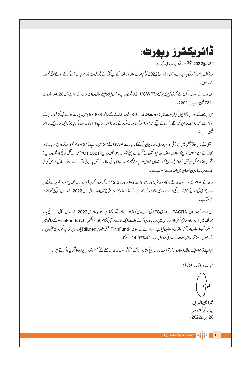**ڈائریکٹرز رپورٹ:** 

31مارچ2022 کوختم ہونے والی سہ ماہی کے لیے

بورڈ آف ڈائریکٹرز کی جانب ہے، میں 31 مارچ2022 کوختم ہونے والی سہ ماہی کے لیے پینی کے مجمدعبوری مالی حسابات پیش کرتے ہوئے خوشی محسوس کرتاہوں۔

اس مدت کے دوران، کمپنی نے مجموعی تحریری پریمیم("GWP") 921 ملین روپےحاصل کیا جو پیچلےسال کی ای مدت کے مقابلے میں 28 فیصدز یا دہ ہے (721 ملين روپے:2021)۔

اس عرصے کے دوران، گاڑیوں کی فروخت میں زبردست اضافہ ہوا جو 28 فیصداضافے کے ساتھ 57,838 پیٹس رپورٹ ہوئے جبکہ گزشتہ سال کے ای عرصے میں 45,218پنٹس تھے۔جس کے نتیجے میں موٹرانشورنس پورٹ فولیونے 663 ملین روپےکا GWP درج کرایا جو کہ ایک سال پہلے 613 ملين رويےقا۔

۔<br>سمپنی نے نان موڑسکیشن میں اپناتر تی کاسفر جاری رکھا۔ پراپر ٹی کے کاروبار سے GWP نے 22 ملین روپے (34 فیصدنمو ) کا اضافیہ درج کرایا۔ہیلتھ کلاس نے 127 ملین روپےکا سالا نہ اضافہ درج کیا۔کپٹی نے ٹیکس سے پہلے نقصان 85 ملین روپے(2021-01، ٹیکس سےقبل منافع 4 ملین روپے ) بشمول ونڈ وتکافل آپریشن کے نبائج ،درج کیا۔نفصان بنیادی طور پرموٹرکلیم تناسب ،ایمپلائی اسٹاک آپشن پلان کی لاگت،اوراسٹاک مارکیٹ میں کمی کی وجہ سے سر ماہیکاری پرنفصان میں اضافہ سے منسوب ہے۔

مدت کےانتقام کے یعد، SBP نے ڈ سکاؤنٹ شرح %9.75 سے بڑھا کر %12.25 تک کردی۔اگر چہآئندہ مدت میں پہ مقررہ انکم پورٹ فوليو پر سر ما بیکاری کی آمدن کو بہتر کرے گی،موجود ہ سای حالات کے خطرات کےساتھ،ڈ سکا دَنٹ شرح میں اضافیہ مالی 2022 کے دوران ترقی کی نموکومتاثر کرسکتاہے۔

اس مدت کے دوران، PACRA نے ہماری IFS کی درجہ بندی کو AA سے ہم آ ہنگ کیا ہے۔مزید،اپریل 2022 کے دوران، کمپنی نے ترقی پذیر ممالک میں ذیہ داراورمنافع بخش کاروباروں میں سرمارکاری کرنے والے،ایک بڑےتر قیاتی فنانسراوراثر انگیز سرمارکار، FinnFund کےساتھ شیئر ۔<br>سبسکر پشن کا معامدہ اورشیئر ہولڈرز کا معامدہ کیا ہے۔معامدے کےمطابق، FinnFund مکمل طور یر diluted فیلی دوں پر،تمام ریگولیٹری منظور یوں کےحصول سے مشروطاس وقت کے جاری کر دہ کل سر مائے کا %14.97 رکھے گا۔

ہم اپنے تمام اسٹیک ہولڈرز ،کاروباری شراکت داروں، پاکتان اسٹاک ایکیچنج، SECPاور عملے کے مسلس تعاون یران کاشکر بیادا کرتے ہیں۔

منجانب يورڈ آف ڈائریکٹرز

محمرا مين الدين چيف ايگزيکڻوآ فيسر 28اپریل2022ء

Quarterly Report 4 1 05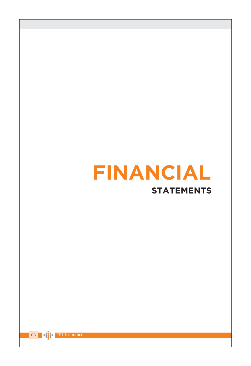

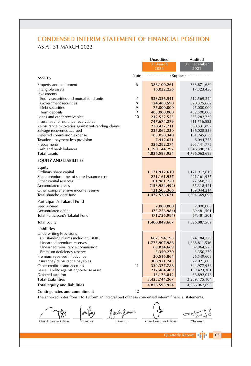# **CONDENSED INTERIM STATEMENT OF FINANCIAL POSITION** AS AT 31 MARCH 2022

|                                                                    |             | Unaudited<br>31 March<br>2022              | <b>Audited</b><br>31 December<br>2021 |
|--------------------------------------------------------------------|-------------|--------------------------------------------|---------------------------------------|
| <b>ASSETS</b>                                                      | <b>Note</b> | ---------------- (Rupees) ---------------- |                                       |
| Property and equipment<br>Intangible assets<br>Investments         | 6           | 388,100,261<br>16,032,256                  | 383,871,680<br>17,323,450             |
| Equity securities and mutual fund units                            | 7           | 533,356,541                                | 612,569,244                           |
| Government securities                                              | 8           | 124,488,590                                | 320, 375, 662                         |
| Debt securities                                                    | 9           | 75,000,000                                 | 25,000,000                            |
| Term deposits                                                      | 9<br>10     | 485,000,000                                | 432,500,000                           |
| Loans and other receivables<br>Insurance / reinsurance receivables |             | 242,522,525                                | 355,282,739                           |
| Reinsurance recoveries against outstanding claims                  |             | 747,674,279<br>270,437,711                 | 611,756,553<br>300,531,897            |
| Salvage recoveries accrued                                         |             | 235,062,230                                | 186,028,558                           |
| Deferred commission expense                                        |             | 185,050,340                                | 181,245,659                           |
| Taxation - payment less provision                                  |             | 7,442,651                                  | 8,044,758                             |
| Prepayments                                                        |             | 326,282,274                                | 305, 141, 775                         |
| Cash and bank balances                                             |             | 1,190,144,297                              | 1,046,390,718                         |
| <b>Total assets</b>                                                |             | 4,826,593,954                              | 4,786,062,693                         |
| <b>EQUITY AND LIABILITIES</b>                                      |             |                                            |                                       |
| Equity                                                             |             |                                            |                                       |
| Ordinary share capital                                             |             | 1,171,912,610                              | 1,171,912,610                         |
| Share premium - net of share issuance cost                         |             | 221, 161, 937                              | 221,161,937                           |
| Other capital reserves                                             |             | 101,981,250                                | 77,568,750                            |
| <b>Accumulated losses</b>                                          |             | (153, 984, 492)                            | (65, 318, 421)                        |
| Other comprehensive income reserve<br>Total shareholders' fund     |             | 131,505,366<br>1,472,576,671               | 189,044,214<br>1,594,369,090          |
| Participant's Takaful Fund                                         |             |                                            |                                       |
| Seed Money                                                         |             | 2,000,000                                  | 2,000,000                             |
| Accumulated deficit                                                |             | (73, 726, 984)                             | (69, 481, 501)                        |
| Total Participant's Takaful Fund                                   |             | (71, 726, 984)                             | (67, 481, 501)                        |
| <b>Total Equity</b>                                                |             | 1,400,849,687                              | 1,526,887,589                         |
| <b>Liabilities</b>                                                 |             |                                            |                                       |
| <b>Underwriting Provisions</b>                                     |             |                                            |                                       |
| Outstanding claims including IBNR<br>Unearned premium reserves     |             | 667, 194, 195                              | 574,184,279                           |
| Unearned reinsurance commission                                    |             | 1,775,907,986<br>69,834,669                | 1,688,811,536<br>62,964,528           |
| Premium deficiency reserve                                         |             | 3,350,270                                  | 3,350,270                             |
| Premium received in advance                                        |             | 30,516,864                                 | 26,549,603                            |
| Insurance / reinsurance payables                                   |             | 308,921,245                                | 322,021,605                           |
| Other creditors and accruals                                       | 11          | 339, 377, 788                              | 344,977,936                           |
| Lease liability against right-of-use asset                         |             | 217,464,409                                | 199,423,301                           |
| Deferred taxation                                                  |             | 13,176,842                                 | 36,892,046                            |
| <b>Total Liabilities</b>                                           |             | 3,425,744,267                              | 3,259,175,104                         |
| Total equity and liabilities                                       |             | 4,826,593,954                              | 4,786,062,693                         |
| Contingencies and commitment                                       | 12          |                                            |                                       |

#### Contingencies and commitment

*L* Director

The annexed notes from 1 to 19 form an integral part of these condensed interim financial statements.

1 avb Director

Chairman

 $|07|$ 

Chief Financial Officer

Chief Executive Officer

**Quarterly Report**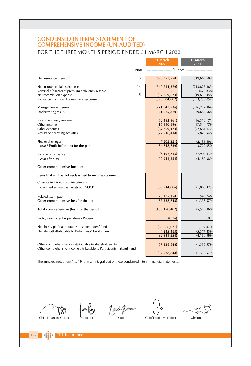# CONDENSED INTERIM STATEMENT OF<br>COMPREHENSIVE INCOME (UN-AUDITED) FOR THE THREE MONTHS PERIOD ENDED 31 MARCH 2022

|                                                                                                                    |      | 31 March                         | 31 March                     |
|--------------------------------------------------------------------------------------------------------------------|------|----------------------------------|------------------------------|
|                                                                                                                    |      | $\frac{1}{2022}$                 | 2021                         |
|                                                                                                                    | Note | ------------- (Rupees) --------- |                              |
| Net insurance premium                                                                                              | 13   | 690,757,558                      | 549,668,689                  |
| Net Insurance claims expense                                                                                       | 14   | (340, 214, 329)                  | (243, 623, 863)              |
| Reversal / (charge) of premium deficiency reserve                                                                  |      |                                  | (473, 838)                   |
| Net commission expense                                                                                             | 15   | (57, 869, 673)                   | (49, 655, 356)               |
| Insurance claims and commission expense                                                                            |      | (398,084,002)                    | (293,753,057)                |
| Management expenses                                                                                                |      | (271, 047, 736)                  | (226, 227, 964)              |
| Underwriting results                                                                                               |      | 21,625,820                       | 29,687,668                   |
| Investment loss / income                                                                                           |      | (52, 493, 961)                   | 16,310,171                   |
| Other income                                                                                                       |      | 16,110,896                       | 17,544,779                   |
| Other expenses                                                                                                     |      | (62,759,173)                     | (57,664,072)                 |
| Results of operating activities                                                                                    |      | (77, 516, 418)                   | 5,878,546                    |
| Financial charges                                                                                                  |      | (7,202,321)                      | (2, 156, 496)                |
| (Loss) / Profit before tax for the period                                                                          |      | (84,718,739)                     | 3,722,050                    |
|                                                                                                                    |      |                                  |                              |
| Income tax expense                                                                                                 |      | (8, 192, 815)                    | (7,902,439)                  |
| (Loss) after tax                                                                                                   |      | (92, 911, 554)                   | (4, 180, 389)                |
| Other comprehensive income:                                                                                        |      |                                  |                              |
| Items that will be not reclassified to income statement:                                                           |      |                                  |                              |
| Changes in fair value of investments                                                                               |      |                                  |                              |
| classified as financial assets at 'FVOCI'                                                                          |      | (80,714,006)                     | (1,885,325)                  |
|                                                                                                                    |      |                                  |                              |
| Related tax impact                                                                                                 |      | 23, 175, 158                     | 546,746                      |
| Other comprehensive loss for the period                                                                            |      | (57, 538, 848)                   | (1, 338, 579)                |
| Total comprehensive (loss) for the period                                                                          |      | (150, 450, 402)                  | (5,518,968)                  |
| Profit / (loss) after tax per share - Rupees                                                                       |      | (0.76)                           | 0.01                         |
|                                                                                                                    |      |                                  |                              |
| Net (loss) / profit attributable to shareholders' fund<br>Net (deficit) attributable to Participants' Takaful Fund |      | (88,666,071)                     | 1,197,470                    |
|                                                                                                                    |      | (4, 245, 483)<br>(92, 911, 554)  | (5,377,859)<br>(4, 180, 389) |
|                                                                                                                    |      |                                  |                              |
| Other comprehensive loss attributable to shareholders' fund                                                        |      | (57, 538, 848)                   | (1, 338, 579)                |
| Other comprehensive income attributable to Participants' Takaful Fund                                              |      |                                  |                              |
|                                                                                                                    |      | (57, 538, 848)                   | (1, 338, 579)                |

The annexed notes from 1 to 19 form an integral part of these condensed interim financial statements.

Chief Financial Officer

only Jack forming l <sub>Director</sub>

Director

Chief Executive Officer

Chairman

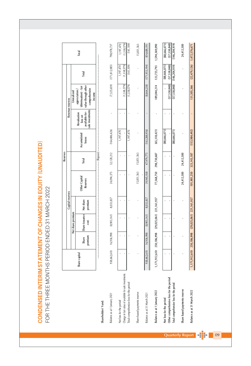CONDENSED INTERIM STATEMENT OF CHANGES IN EQUITY (UNAUDITED) FOR THE THREE MONTHS PERIOD ENDED 31 MARCH 2022

|                                                                                                   |                           |                  |                                                    |                            |                           | <b>Reserves</b>        |                       |                                                              |                                                                                         |                                |                                     |
|---------------------------------------------------------------------------------------------------|---------------------------|------------------|----------------------------------------------------|----------------------------|---------------------------|------------------------|-----------------------|--------------------------------------------------------------|-----------------------------------------------------------------------------------------|--------------------------------|-------------------------------------|
|                                                                                                   |                           |                  |                                                    | Capital reserves           |                           |                        |                       |                                                              | Revenue reserves                                                                        |                                |                                     |
|                                                                                                   |                           |                  | Net share premium                                  |                            |                           |                        |                       |                                                              | Unrealized                                                                              |                                |                                     |
|                                                                                                   | Share capital             | premium<br>Share | Share issuance<br>cost                             | Net share<br>premium       | Other Capital<br>Reserves | Total                  | Accumulated<br>losses | sale investments<br>available-for-<br>Revaluation<br>loss on | (diminuation) - fair<br>value through other<br>comprehensive<br>appreciaiton/<br>income | Total                          | Total                               |
| Shareholders' Fund:                                                                               |                           |                  |                                                    |                            |                           | - (Rupees)             |                       |                                                              |                                                                                         |                                |                                     |
| Balance as at 1 January 2021                                                                      | 938,662,610               | 16,936,998       | (8,903,161)                                        | 8,033,837                  | 24,094,375                | 32,128,212             | (164, 486, 426)       |                                                              | (7, 325, 659)                                                                           | (171, 812, 085)                | 798,978,737                         |
| Net loss for the period                                                                           |                           |                  |                                                    |                            |                           |                        | 1,197,470             |                                                              |                                                                                         | 1,197,470                      | 1,197,470                           |
| Change in fair value of available for sale investments<br>Total comprehensive loss for the period |                           |                  |                                                    |                            |                           |                        | 1,197,470             |                                                              | (1,338,579)<br>(1,338,579)                                                              | (1,338,579)<br>(141, 109)      | (1,338,579)<br>(141, 109)           |
| Share based payments reserve                                                                      |                           |                  |                                                    |                            | 15,851,563                | 15,851,563             |                       |                                                              |                                                                                         |                                | 15,851,563                          |
| Balance as at 31 March 2021                                                                       | 938,662,610               | 16,936,998       | (8,903,161)                                        | 8,033,837                  | 39,945,938                | 47,979,775             | (163, 288, 956)       |                                                              | (8,664,238)                                                                             | (171, 953, 194)                | 814,689,191                         |
| Balance as at 1 January 2022                                                                      |                           |                  | 1,171,912,610 250,186,998 (29,025,061) 221,161,937 |                            |                           | 77,568,750 298,730,687 | (65, 318, 421)        |                                                              | 189,044,214                                                                             | 123,725,793                    | 1,594,369,090                       |
| Other comprehensive loss for the period<br>Net loss for the period                                |                           |                  |                                                    |                            |                           |                        | (88, 666, 071)        |                                                              | (57, 538, 848)                                                                          | (88,666,071)<br>(57, 538, 848) | (57,538,848)<br>(88,666,071)        |
| Total comprehensive loss for the period                                                           |                           |                  |                                                    |                            |                           |                        | (88,666,071)          |                                                              |                                                                                         | $(57,538,848)$ $(146,204,919)$ | (146, 204, 919)                     |
| Share based payments reserve                                                                      |                           |                  |                                                    |                            | 24,412,500                | 24,412,500             |                       |                                                              |                                                                                         |                                | 24,412,500                          |
| Balance as at 31 March 2022                                                                       | 1,171,912,610 250,186,998 |                  |                                                    | $(29,025,061)$ 221,161,937 | 101,981,250               | 323, 143, 187          | (153, 984, 492)       |                                                              | 131,505,366                                                                             |                                | $(22, 479, 126)$ $1, 472, 576, 671$ |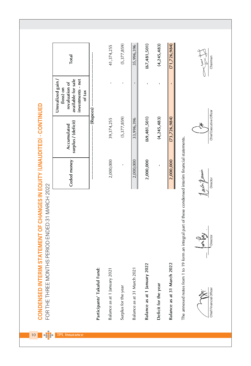$(67, 481, 501)$  $(5,377,859)$ 35,996,396  $(4,245,483)$  $(71, 726, 984)$ 41,374,255 Total Chairman available for sale Unrealized gain / investments - net revaluation of  $\bar{1}$ (loss) on of tax CONDENSED INTERIM STATEMENT OF CHANGES IN EQUITY (UNAUDITED) - CONTINUED -- (Rupees) Chief Executive Officer  $(69, 481, 501)$  $(5,377,859)$ 33,996,396  $(4,245,483)$  $(73, 726, 984)$ 39,374,255 surplus / (deficit) Accumulated The annexed notes from 1 to 19 form an integral part of these condensed interim financial statements. Ceded money 2,000,000 2,000,000 2,000,000 2,000,000 ï autr formin Director FOR THE THREE MONTHS PERIOD ENDED 31 MARCH 2022 Directo Balance as at 31 March 2022 Balance as at 1 January 2022 Participants' Takaful Fund: Balance as at 31 March 2021 Balance as at 1 January 2021 Deficit for the year Surplus for the year Chief Financial Officer n dir  $10$ **TPL Insurance**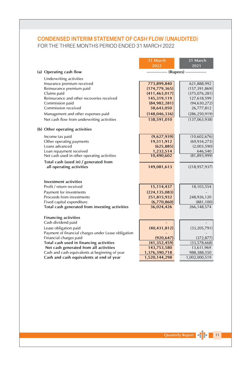# **CONDENSED INTERIM STATEMENT OF CASH FLOW (UNAUDITED)** FOR THE THREE MONTHS PERIOD ENDED 31 MARCH 2022

|                                                     | 31 March        | 31 March                              |
|-----------------------------------------------------|-----------------|---------------------------------------|
|                                                     | 2022            | 2021                                  |
| (a) Operating cash flow                             |                 | ------------- (Rupees) -------------- |
| Underwriting activities                             |                 |                                       |
| Insurance premium received                          | 773,899,840     | 621,888,992                           |
| Reinsurance premium paid                            | (174, 779, 365) | (157, 391, 869)                       |
| Claims paid                                         | (411, 463, 017) | (375,076,281)                         |
| Reinsurance and other recoveries received           | 145,319,119     | 127,618,599                           |
| Commission paid                                     | (84, 982, 281)  | (94, 630, 272)                        |
| Commission received                                 | 38,643,050      | 26,777,812                            |
| Management and other expenses paid                  | (148, 046, 336) | (286, 250, 919)                       |
| Net cash flow from underwriting activities          | 138,591,010     | (137,063,938)                         |
| (b) Other operating activities                      |                 |                                       |
| Income tax paid                                     | (9,627,939)     | (10,602,676)                          |
| Other operating payments                            | 19,511,912      | (69, 934, 273)                        |
| Loans advanced                                      | (625, 885)      | (2,003,590)                           |
| Loan repayment received                             | 1,232,514       | 646,540                               |
| Net cash used in other operating activities         | 10,490,602      | (81, 893, 999)                        |
| Total cash (used in) / generated from               |                 |                                       |
| all operating activities                            | 149,081,613     | (218, 957, 937)                       |
|                                                     |                 |                                       |
| Investment activities                               |                 |                                       |
| Profit / return received                            | 15,114,437      | 18,103,554                            |
| Payment for investments                             | (224, 135, 083) |                                       |
| Proceeds from investments                           | 251,815,932     | 248,926,120                           |
| Fixed capital expenditure                           | (6,770,860)     | (881, 100)                            |
| Total cash generated from investing activities      | 36,024,426      | 266,148,574                           |
| <b>Financing activities</b>                         |                 |                                       |
| Cash dividend paid                                  |                 |                                       |
| Lease obligation paid                               | (40, 431, 812)  | (33, 205, 791)                        |
| Payment of financial charges under Lease obligation |                 |                                       |
| Financial charges paid                              | (920, 647)      | (372, 877)                            |
| Total cash used in financing activities             | (41, 352, 459)  | (33, 578, 668)                        |
| Net cash generated from all activities              | 143,753,580     | 13,611,969                            |
| Cash and cash equivalents at beginning of year      | 1,376,390,718   | 988,388,550                           |
| Cash and cash equivalents at end of year            | 1,520,144,298   | 1,002,000,519                         |
|                                                     |                 |                                       |

Quarterly Report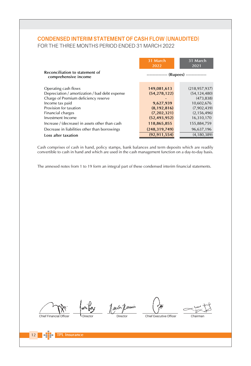# **CONDENSED INTERIM STATEMENT OF CASH FLOW (UNAUDITED)**

FOR THE THREE MONTHS PERIOD ENDED 31 MARCH 2022

|                                                        | 31 March<br>2022 | 31 March<br>2021                       |
|--------------------------------------------------------|------------------|----------------------------------------|
| Reconciliation to statement of<br>comprehensive income |                  | -------------- (Rupees) -------------- |
| Operating cash flows                                   | 149,081,613      | (218, 957, 937)                        |
| Depreciation / amortization / bad debt expense         | (54, 278, 122)   | (54, 124, 480)                         |
| Charge of Premium deficiency reserve                   |                  | (473.838)                              |
| Income tax paid                                        | 9,627,939        | 10,602,676                             |
| Provision for taxation                                 | (8, 192, 816)    | (7,902,439)                            |
| Financial charges                                      | (7, 202, 321)    | (2, 156, 496)                          |
| Investment Income                                      | (52, 493, 952)   | 16,310,170                             |
| Increase / (decrease) in assets other than cash        | 118,865,855      | 155,884,759                            |
| Decrease in liabilities other than borrowings          | (248, 319, 749)  | 96,637,196                             |
| Loss after taxation                                    | (92, 911, 554)   | (4, 180, 389)                          |
|                                                        |                  |                                        |

Cash comprises of cash in hand, policy stamps, bank balances and term deposits which are readily convertible to cash in hand and which are used in the cash management function on a day-to-day basis.

The annexed notes from 1 to 19 form an integral part of these condensed interim financial statements.

Jailer Jermin

Chief Financial Officer

Director

Chief Executive Officer

Chairman

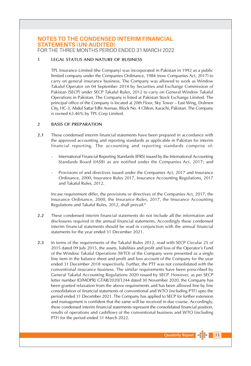FOR THE THREE MONTHS PERIOD ENDED 31 MARCH 2022

#### **LEGAL STATUS AND NATURE OF BUSINESS**  $\blacksquare$

TPL Insurance Limited (the Company) was incorporated in Pakistan in 1992 as a public limited company under the Companies Ordinance, 1984 (now Companies Act, 2017) to carry on general insurance business. The Company was allowed to work as Window Takaful Operator on 04 September 2014 by Securities and Exchange Commission of Pakistan (SECP) under SECP Takaful Rules, 2012 to carry on General Window Takaful Operations in Pakistan. The Company is listed at Pakistan Stock Exchange Limited. The principal office of the Company is located at 20th Floor, Sky Tower - East Wing, Dolmen City, HC-3, Abdul Sattar Edhi Avenue, Block No. 4 Clifton, Karachi, Pakistan. The Company is owned 63.46% by TPL Corp Limited.

#### $\overline{2}$ **BASIS OF PREPARATION**

- $2.1$ These condensed interim financial statements have been prepared in accordance with the approved accounting and reporting standards as applicable in Pakistan for interim financial reporting. The accounting and reporting standards comprise of:
	- International Financial Reporting Standards (IFRS) issued by the International Accounting Standards Board (IASB) as are notified under the Companies Act, 2017; and
	- Provisions of and directives issued under the Companies Act, 2017 and Insurance Ordinance, 2000, Insurance Rules 2017, Insurance Accounting Regulations, 2017 and Takaful Rules, 2012.

Incase requirement differ, the provisions or directives of the Companies Act, 2017, the Insurance Ordinance, 2000, the Insurance Rules, 2017, the Insurance Accounting Regulations and Takaful Rules, 2012, shall prevail."

- $2.2$ These condensed interim financial statements do not include all the information and disclosures required in the annual financial statements. Accordingly these condensed interim financial statements should be read in conjunction with the annual financial statements for the year ended 31 December 2021.
- $2.3$ In terms of the requirements of the Takaful Rules 2012, read with SECP Circular 25 of 2015 dated 09 July 2015, the assets, liabilities and profit and loss of the Operator's Fund of the Window Takaful Operations (WTO) of the Company were presented as a single line item in the balance sheet and profit and loss account of the Company for the year ended 31 December 2018 respectively. Further, the PTF was not consolidated with the conventional insurance business. The similar requirements have been prescribed by General Takaful Accounting Regulations 2020 issued by SECP. However, as per SECP letter number ID/MDPR/ GTAR/2020/1244 dated 30 November 2020, the Company has been granted relaxation from the above requirements and has been allowed line by line consolidation of financial statements of conventional and WTO (including PTF) upto the period ended 31 December 2021. The Company has applied to SECP for further extension and management is confident that the same will be received in due course. Accordingly, these condensed interim financial statements represent the consolidated financial position, results of operations and cashflows of the conventional business and WTO (including PTF) for the period ended 31 March 2022.

Quarterly Report [11111]

 $\blacksquare$  13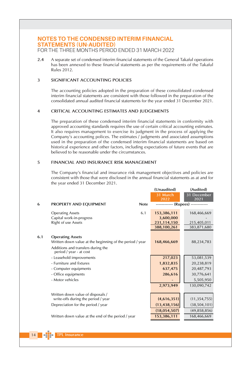FOR THE THREE MONTHS PERIOD ENDED 31 MARCH 2022

 $2.4$ A separate set of condensed interim financial statements of the General Takaful operations has been annexed to these financial statements as per the requirements of the Takaful Rules 2012.

#### SIGNIFICANT ACCOUNTING POLICIES 3

The accounting policies adopted in the preparation of these consolidated condensed interim financial statements are consistent with those followed in the preparation of the consolidated annual audited financial statements for the year ended 31 December 2021.

#### CRITICAL ACCOUNTING ESTIMATES AND JUDGEMENTS  $\overline{\mathbf{4}}$

The preparation of these condensed interim financial statements in conformity with approved accounting standards requires the use of certain critical accounting estimates. It also requires management to exercise its judgment in the process of applying the Company's accounting polices. The estimates / judgments and associated assumptions used in the preparation of the condensed interim financial statements are based on historical experience and other factors, including expectations of future events that are believed to be reasonable under the circumstances.

#### 5 **FINANCIAL AND INSURANCE RISK MANAGEMENT**

The Company's financial and insurance risk management objectives and policies are consistent with those that were disclosed in the annual financial statements as at and for the year ended 31 December 2021.

 $\mathbf{u}$  is  $\mathbf{v}$ 

 $(1, 1, 1)$  and  $(1, 1, 1)$ 

| 6   | PROPERTY AND EQUIPMENT                                                                                                                               | <b>Note</b> | (Unductive)<br>31 March<br>2022                        | (Auguea)<br>31 December<br>2021<br>------------ (Rupees) ------------ |
|-----|------------------------------------------------------------------------------------------------------------------------------------------------------|-------------|--------------------------------------------------------|-----------------------------------------------------------------------|
|     | <b>Operating Assets</b><br>Capital work-in-progress<br>Right of use Assets                                                                           | 6.1         | 153,386,111<br>3,600,000<br>231,114,150<br>388,100,261 | 168,466,669<br>215,405,011<br>383,871,680                             |
| 6.1 | <b>Operating Assets</b><br>Written down value at the beginning of the period / year<br>Additions and transfers during the<br>period / year - at cost |             | 168,466,669                                            | 88,234,783                                                            |
|     | - Leasehold improvements<br>- Furniture and fixtures<br>- Computer equipments<br>- Office equipments<br>- Motor vehicles                             |             | 217,023<br>1,832,835<br>637,475<br>286,616             | 53,081,539<br>20,238,819<br>20,487,793<br>30,776,641<br>5,505,950     |
|     | Written down value of disposals /<br>write-offs during the period / year<br>Depreciation for the period / year                                       |             | 2,973,949<br>(4,616,351)<br>(13, 438, 156)             | 130,090,742<br>(11, 354, 755)<br>(38, 504, 101)                       |
|     | Written down value at the end of the period / year                                                                                                   |             | (18,054,507)<br>153,386,111                            | (49, 858, 856)<br>168,466,669                                         |

 $\blacksquare$  14  $\blacksquare$   $\blacksquare$ **TPL Insurance**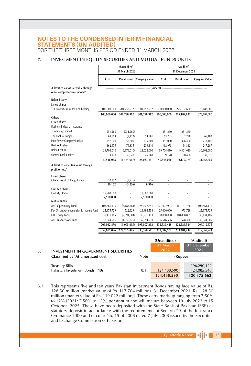FOR THE THREE MONTHS PERIOD ENDED 31 MARCH 2022

#### $\overline{7}$ . INVESTMENT IN EQUITY SECURITIES AND MUTUAL FUNDS UNITS

|                                                                      |                           | (Unaudited)              |                          |                           | (Audited)                          |                          |
|----------------------------------------------------------------------|---------------------------|--------------------------|--------------------------|---------------------------|------------------------------------|--------------------------|
|                                                                      |                           | 31 March 2022            |                          |                           | 31 December 2021                   |                          |
|                                                                      | Cost                      | Revaluation              | <b>Carrying Value</b>    | Cost                      | Revaluation                        | <b>Carrying Value</b>    |
| -Classified as 'At fair value through<br>other comprehensive income' |                           |                          |                          | --- (Rupees) --           |                                    |                          |
| <b>Related party</b>                                                 |                           |                          |                          |                           |                                    |                          |
| <b>Listed shares</b>                                                 |                           |                          |                          |                           |                                    |                          |
| TPL Properties Limited (3% holding)                                  | 100,000,000               | 201,758,912              | 301,758,912              | 100,000,000               | 275,187,680                        | 375,187,680              |
| Others<br><b>Listed shares</b>                                       | 100,000,000               | 201,758,912              | 301,758,912              | 100,000,000               | 275,187,680                        | 375,187,680              |
| <b>Business Industrial Insurance</b>                                 |                           |                          |                          |                           |                                    |                          |
| Company Limited                                                      | 251,260                   | (251, 260)               |                          | 251,260                   | (251, 260)                         |                          |
| The Bank of Punjab                                                   | 63,703                    | (9, 122)                 | 54,581                   | 63,703                    | 1,778                              | 65,482                   |
| Hub Power Company Limited                                            | 357,000                   | 358,800                  | 715,800                  | 357,000                   | 356,400                            | 713,400                  |
| Bank of Khyber                                                       | 162,975                   | 76,335                   | 239,310                  | 162,975                   | 84,312                             | 247,287                  |
| <b>Bolan Casting</b>                                                 | 39,704,010                | (16, 676, 010)           | 23,028,000               | 39,704,010                | (9,401,010)                        | 30,303,000               |
| Summit Bank Limited                                                  | 9,120                     | 36,640                   | 45,760                   | 9,120                     | 30,400                             | 39,520                   |
|                                                                      | 40,548,068                | (16, 464, 617)           | 24,083,451               | 40,548,068                | (9, 179, 379)                      | 31,368,689               |
| <b>Listed Shares</b><br>Ghani Global Holdings Limited                | 10,152<br>10,152          | (3, 236)<br>(3.236)      | 6,916<br>6,916           |                           |                                    |                          |
| <b>Unlisted Shares</b>                                               |                           |                          |                          |                           |                                    |                          |
| Find My Doctor                                                       | 12,500,000                |                          | 12,500,000               |                           |                                    |                          |
|                                                                      | 12,500,000                |                          | 12,500,000               |                           |                                    |                          |
| Mutual funds<br><b>AKD Opportunity Fund</b>                          |                           |                          |                          |                           |                                    |                          |
| Pak Oman Advantage Islamic Income Fund                               | 103,861,136<br>25,975,729 | (7, 183, 384)<br>522,829 | 96,677,751<br>26,498,558 | 121,022,903<br>25,000,000 | (17, 161, 768)<br>975,729          | 103,861,136              |
| <b>HBL Equity Fund</b>                                               | 39,131,105                | (2,394,683)              | 36,736,423               | 50,000,000                | (10,868,895)                       | 25,975,729<br>39,131,105 |
| AKD Islamic Stock Fund                                               | 37,044,906                | (1,950,376)              | 35,094,530               | 36,516,536                | 528,370                            | 37,044,905               |
|                                                                      | 206,012,876               | (11,005,615)             | 195,007,262              | 232,539,439               | (26, 526, 564)                     | 206,012,875              |
|                                                                      | 359,071,096               | 174,285,445              | 533,356,541              | 373,087,507               | 239,481,737                        | 612,569,244              |
|                                                                      |                           |                          |                          | (Unaudited)               |                                    | (Audited)                |
|                                                                      |                           |                          |                          | 31 March                  |                                    | 31 December              |
| <b>INVESTMENT IN GOVERNMENT SECURITIES</b>                           |                           |                          |                          | 2022                      |                                    | 2021                     |
| Classified as 'At amortized cost'                                    |                           |                          | <b>Note</b>              |                           | ------------ (Rupees) ------------ |                          |
| <b>Treasury Bills</b>                                                |                           |                          |                          |                           |                                    | 196,290,122              |
| Pakistan Investment Bonds (PIBs)                                     |                           |                          | 8.1                      | 124,488,590               |                                    | 124,085,540              |
|                                                                      |                           |                          |                          | 124.488.590               |                                    | 320.375.662              |
|                                                                      |                           |                          |                          |                           |                                    |                          |

This represents five and ten years Pakistan Investment Bonds having face value of Rs. 8.1 128.50 million (market value of Rs. 117.704 million) [31 December 2021: Rs. 128.50 million (market value of Rs. 119.022 million)]. These carry mark-up ranging from 7.50% to 12% (2021: 7.50% to 12%) per annum and will mature between 19 July 2022 to 15 October 2025. These have been deposited with the State Bank of Pakistan (SBP) as statutory deposit in accordance with the requirements of Section 29 of the Insurance Ordinance 2000 and circular No. 15 of 2008 dated 7 July 2008 issued by the Securities and Exchange Commission of Pakistan.

8.

**Quarterly Report** 

 $\blacksquare$  15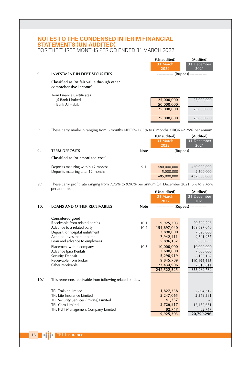| 9    | <b>INVESTMENT IN DEBT SECURITIES</b>                                                                                                                                                                                                                                                                            |                      | (Unaudited)<br>31 March<br>2022<br>------------ (Rupees) ------------                                                                             | (Audited)<br>31 December<br>2021                                                                                                                    |
|------|-----------------------------------------------------------------------------------------------------------------------------------------------------------------------------------------------------------------------------------------------------------------------------------------------------------------|----------------------|---------------------------------------------------------------------------------------------------------------------------------------------------|-----------------------------------------------------------------------------------------------------------------------------------------------------|
|      | Classified as 'At fair value through other<br>comprehensive income'                                                                                                                                                                                                                                             |                      |                                                                                                                                                   |                                                                                                                                                     |
|      | <b>Term Finance Certificates</b><br>- IS Bank Limited<br>- Bank Al Habib                                                                                                                                                                                                                                        |                      | 25,000,000<br>50,000,000<br>75,000,000<br>75,000,000                                                                                              | 25,000,000<br>25,000,000<br>25,000,000                                                                                                              |
| 9.1  | These carry mark-up ranging from 6 months KIBOR+1.65% to 6 months KIBOR+2.25% per annum.                                                                                                                                                                                                                        |                      | (Unaudited)<br>31 March                                                                                                                           | (Audited)<br>31 December                                                                                                                            |
| 9.   | <b>TERM DEPOSITS</b>                                                                                                                                                                                                                                                                                            | <b>Note</b>          | 2022<br>------------ (Rupees) ------------                                                                                                        | 2021                                                                                                                                                |
|      | Classified as 'At amortized cost'                                                                                                                                                                                                                                                                               |                      |                                                                                                                                                   |                                                                                                                                                     |
|      | Deposits maturing within 12 months<br>Deposits maturing after 12 months                                                                                                                                                                                                                                         | 9.1                  | 480,000,000<br>5,000,000<br>485,000,000                                                                                                           | 430,000,000<br>2,500,000<br>432,500,000                                                                                                             |
| 9.1  | These carry profit rate ranging from 7.75% to 9.90% per annum (31 December 2021: 5% to 9.45%<br>per annum).                                                                                                                                                                                                     |                      | (Unaudited)<br>31 March<br>2022                                                                                                                   | (Audited)<br>31 December<br>2021                                                                                                                    |
| 10.  | <b>LOANS AND OTHER RECEIVABLES</b>                                                                                                                                                                                                                                                                              | <b>Note</b>          | ------------ (Rupees) ------------                                                                                                                |                                                                                                                                                     |
|      | Considered good<br>Receivable from related parties<br>Advance to a related party<br>Deposit for hospital enlistment<br>Accrued investment income<br>Loan and advance to employees<br>Placement with a company<br>Advance Ijara Rentals<br><b>Security Deposit</b><br>Receivable from broker<br>Other receivable | 10.1<br>10.2<br>10.3 | 9,925,303<br>154,697,040<br>7,890,000<br>7,942,411<br>5,896,157<br>10,000,000<br>7,600,000<br>5,290,919<br>9,845,789<br>23,434,906<br>242,522,525 | 20,799,296<br>169,697,040<br>7,890,000<br>9,541,957<br>5,860,055<br>10,000,000<br>7,600,000<br>6,183,167<br>110,194,413<br>7,516,811<br>355,282,739 |
| 10.1 | This represents receivable from following related parties.                                                                                                                                                                                                                                                      |                      |                                                                                                                                                   |                                                                                                                                                     |
|      | TPL Trakker Limited<br>TPL Life Insurance Limited<br>TPL Security Services (Private) Limited<br>TPL Corp Limited<br>TPL REIT Management Company Limited                                                                                                                                                         |                      | 1,827,338<br>5,247,065<br>41,337<br>2,726,817<br>82,747<br>9,925,303                                                                              | 5,894,317<br>2,349,581<br>12,472,651<br>82,747<br>20,799,296                                                                                        |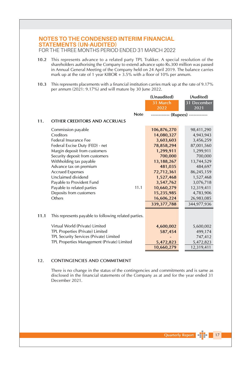FOR THE THREE MONTHS PERIOD ENDED 31 MARCH 2022

- 10.2 This represents advance to a related party TPL Trakker. A special resolution of the shareholders authorising the Company to extend advance upto Rs.300 million was passed in Annual General Meeting of the Company held on 24 April 2019. The balance carries mark up at the rate of 1 year KIBOR  $+ 3.5\%$  with a floor of 10% per annum.
- 10.3 This represents placements with a financial institution carries mark up at the rate of 9.17% per annum (2021: 9.17%) and will mature by 30 June 2022.

|      |                                                       | (Unaudited)                        | (Audited)   |
|------|-------------------------------------------------------|------------------------------------|-------------|
|      |                                                       | 31 March                           | 31 December |
|      |                                                       | 2022                               | 2021        |
|      | <b>Note</b>                                           | ------------ (Rupees) ------------ |             |
| 11.  | OTHER CREDITORS AND ACCRUALS                          |                                    |             |
|      | Commission payable                                    | 106,876,270                        | 98,411,290  |
|      | Creditors                                             | 14,080,327                         | 4,943,943   |
|      | Federal Insurance Fee                                 | 3,603,603                          | 3,456,259   |
|      | Federal Excise Duty (FED) - net                       | 78,858,294                         | 87,001,560  |
|      | Margin deposit from customers                         | 1,299,911                          | 1,299,911   |
|      | Security deposit from customers                       | 700,000                            | 700,000     |
|      | Withholding tax payable                               | 13,188,267                         | 13,744,529  |
|      | Advance tax on premium                                | 481,035                            | 484,697     |
|      | <b>Accrued Expenses</b>                               | 72,712,361                         | 86,245,159  |
|      | Unclaimed dividend                                    | 1,527,468                          | 1,527,468   |
|      | Payable to Provident Fund                             | 3,547,762                          | 3,076,718   |
|      | 11.1<br>Payable to related parties                    | 10,660,279                         | 12,319,411  |
|      | Deposits from customers                               | 15,235,985                         | 4,783,906   |
|      | Others                                                | 16,606,224                         | 26,983,085  |
|      |                                                       | 339, 377, 788                      | 344,977,936 |
| 11.1 | This represents payable to following related parties. |                                    |             |
|      | Virtual World (Private) Limited                       | 4,600,002                          | 5,600,002   |
|      | TPL Properties (Private) Limited                      | 587,454                            | 499,174     |
|      | TPL Security Services (Private) Limited               |                                    | 747,412     |
|      | TPL Properties Management (Private) Limited           | 5,472,823                          | 5,472,823   |
|      |                                                       | 10,660,279                         | 12,319,411  |

#### $12.$ **CONTINGENCIES AND COMMITMENT**

There is no change in the status of the contingencies and commitments and is same as disclosed in the financial statements of the Company as at and for the year ended 31 December 2021.

 $\blacksquare$  17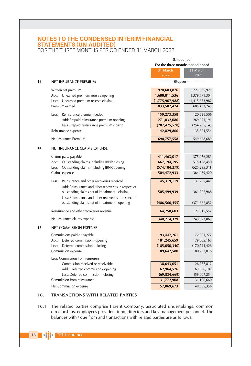FOR THE THREE MONTHS PERIOD ENDED 31 MARCH 2022

|     |                                                                                                        | (Unaudited)                        |                                |
|-----|--------------------------------------------------------------------------------------------------------|------------------------------------|--------------------------------|
|     |                                                                                                        | For the three months period ended  |                                |
|     |                                                                                                        | 31 March<br>2022                   | 31 March<br>2021               |
| 13. | <b>NET INSURANCE PREMIUM</b>                                                                           | ----------- (Rupees) ------------- |                                |
|     | Written net premium<br>Add: Unearned premium reserve opening                                           | 920,683,876<br>1,688,811,536       | 721,675,921<br>1,379,671,304   |
|     | Unearned premium reserve closing<br>Less:<br>Premium earned                                            | (1,775,907,988)<br>833,587,424     | (1,415,853,982)<br>685,493,243 |
|     | Reinsurance premium ceded<br>Less:<br>Add: Prepaid reinsurance premium opening                         | 159,273,358<br>271,032,086         | 120,538,506<br>269,991,191     |
|     | Less: Prepaid reinsurance premium closing<br>Reinsurance expense                                       | (287, 475, 578)<br>142,829,866     | (254, 705, 143)<br>135,824,554 |
|     | Net insurance Premium                                                                                  | 690,757,558                        | 549,668,689                    |
| 14. | NET INSURANCE CLAIMS EXPENSE                                                                           |                                    |                                |
|     | Claims paid/ payable                                                                                   | 411,463,017                        | 375,076,281                    |
|     | Add: Outstanding claims including IBNR closing                                                         | 667, 194, 195                      | 515,158,450                    |
|     | Outstanding claims including IBNR opening<br>Less:                                                     | (574, 184, 279)                    | (525, 295, 311)                |
|     | Claims expense                                                                                         | 504,472,933                        | 364,939,420                    |
|     | Reinsurance and other recoveries received<br>Less:                                                     | 145,319,119                        | 131,255,441                    |
|     | Add: Reinsurance and other recoveries in respect of<br>outstanding claims net of impairment - closing  | 505,499,939                        | 361,722,968                    |
|     | Less: Reinsurance and other recoveries in respect of<br>outstanding claims net of impairment - opening | (486, 560, 455)                    | (371, 662, 852)                |
|     | Reinsurance and other recoveries revenue                                                               | 164,258,603                        | 121,315,557                    |
|     | Net insurance claims expense                                                                           | 340,214,329                        | 243,623,863                    |
| 15. | <b>NET COMMISSION EXPENSE</b>                                                                          |                                    |                                |
|     | Commissions paid or payable                                                                            | 93,447,261                         | 72,001,277                     |
|     | Add: Deferred commission - opening                                                                     | 181,245,659                        | 179,505,165                    |
|     | Deferred commission - closing<br>Less:                                                                 | (185,050,340)                      | (170, 744, 426)                |
|     | Commission expense                                                                                     | 89,642,580                         | 80,762,016                     |
|     | Less: Commission from reinsurers                                                                       |                                    |                                |
|     | Commission received or receivable                                                                      | 38,643,051                         | 26,777,812                     |
|     | Add: Deferred commission - opening                                                                     | 62,964,526                         | 63,336,102                     |
|     | Less: Deferred commission - closing                                                                    | (69, 834, 669)                     | (59,007,254)                   |
|     | Commission from reinsurance                                                                            | 31,772,908                         | 31,106,660                     |
|     | Net Commission expense                                                                                 | 57,869,673                         | 49,655,356                     |

#### 16. TRANSACTIONS WITH RELATED PARTIES

16.1 The related parties comprise Parent Company, associated undertakings, common directorships, employees provident fund, directors and key management personnel. The balances with / due from and transactions with related parties are as follows: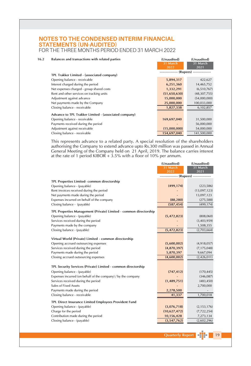## **NOTES TO THE CONDENSED INTERIM FINANCIAL STATEMENTS (UN-AUDITED)** FOR THE THREE MONTHS PERIOD ENDED 31 MARCH 2022

 $16.2$ Balances and transactions with related parties

| Balances and transactions with related parties        | (Unaudited)                              | (Unaudited)      |
|-------------------------------------------------------|------------------------------------------|------------------|
|                                                       | 31 March<br>2022                         | 31 March<br>2021 |
|                                                       | --------------- (Rupees) --------------- |                  |
| TPL Trakker Limited - (associated company)            |                                          |                  |
| Opening balance - receivable                          | 5,894,317                                | 422,627          |
| Interest charged during the period                    | 6,251,360                                | 14,465,752       |
| Net expenses charged - group shared costs             | 1,332,291                                | (6,510,767)      |
| Rent and other services on tracking units             | (51,650,630)                             | (48, 307, 755)   |
| Adjustment against advance                            | 15,000,000                               | (54,000,000)     |
| Net payments made by the Company                      | 25,000,000                               | 100,033,000      |
| Closing balance - receivable                          | 1,827,338                                | 6,102,857        |
| Advance to TPL Trakker Limited - (associated company) |                                          |                  |
| Opening balance - receivable                          | 169,697,040                              | 31,500,000       |
| Payments received during the period                   |                                          | 56,000,000       |
| Adjustment against receivable                         | (15,000,000)                             | 54,000,000       |
| Closing balance - receivable                          | 154,697,040                              | 141,500,000      |

This represents advance to a related party. A special resolution of the shareholders authorising the Company to extend advance upto Rs.300 million was passed in Annual General Meeting of the Company held on 21 April, 2019

(Unaudited)

(Unaudited)

|                                                                   | 31 March     | 31 March                              |
|-------------------------------------------------------------------|--------------|---------------------------------------|
|                                                                   | 2022         | 2021                                  |
|                                                                   |              | ------------ (Rupees) --------------- |
| TPL Properties Limited- common directorship                       |              |                                       |
| Opening balance - (payable)                                       | (499, 174)   | (223, 586)                            |
| Rent invoices received during the period                          |              | (13,097,123)                          |
| Net payments made during the period                               |              | 13,097,123                            |
| Expenses incurred on behalf of the company                        | (88, 280)    | (275, 588)                            |
| Closing balance - (payable)                                       | (587, 454)   | (499, 174)                            |
| TPL Properties Management (Private) Limited - common directorship |              |                                       |
| Opening balance - (payable)                                       | (5,472,823)  | (808,060)                             |
| Services received during the period                               |              | (3,403,959)                           |
| Payments made by the company                                      |              | 1,508,355                             |
| Closing balance - (payable)                                       | (5,472,823)  | (2,703,664)                           |
|                                                                   |              |                                       |
| Virtual World (Private) Limited - common directorship             |              |                                       |
| Opening accrued outsourcing expenses                              | (5,600,002)  | (4,918,057)                           |
| Services received during the period                               | (4,870,397)  | (7, 175, 048)                         |
| Payments made during the period                                   | 5,870,397    | 9,667,094                             |
| Closing accrued outsourcing expenses                              | (4,600,002)  | (2,426,011)                           |
| TPL Security Services (Private) Limited - common directorship     |              |                                       |
| Opening balance - (payable)                                       | (747, 412)   | (170, 445)                            |
| Expenses incurred (on behalf of the company) / by the company     |              | (346,087)                             |
| Services received during the period                               | (1,489,751)  | (483, 450)                            |
| Sales of Fixed Assets                                             |              | 2,700,000                             |
| Payments made during the period                                   | 2,278,500    |                                       |
| Closing balance - receivable                                      | 41,337       | 1,700,018                             |
| TPL Direct Insurance Limited Employees Provident Fund             |              |                                       |
| Opening balance - (payable)                                       | (3,076,718)  | (2, 153, 176)                         |
| Charge for the period                                             | (10,627,472) | (7, 722, 254)                         |
| Contribution made during the period                               | 10,156,428   | 7,273,134                             |
| Closing balance - (payable)                                       | (3,547,762)  | (2,602,296)                           |
|                                                                   |              |                                       |

Quarterly Report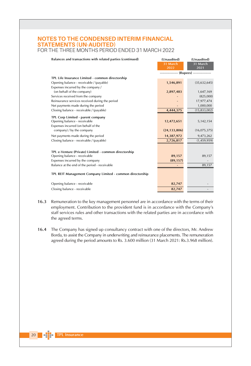#### **NOTES TO THE CONDENSED INTERIM FINANCIAL STATEMENTS (UN-AUDITED)** FOR THE THREE MONTHS PERIOD ENDED 31 MARCH 2022

| Balances and transactions with related parties (continued)                            | (Unaudited)<br>31 March<br>2022<br>--------------- (Rupees) ---------------- | (Unaudited)<br>31 March<br>2021 |
|---------------------------------------------------------------------------------------|------------------------------------------------------------------------------|---------------------------------|
| TPL Life Insurance Limited - common directorship                                      |                                                                              |                                 |
| Opening balance - receivable / (payable)                                              | 1,546,891                                                                    | (35,632,645)                    |
| Expenses incurred by the company /                                                    |                                                                              |                                 |
| (on behalf of the company)                                                            | 2,897,483                                                                    | 1,647,169                       |
| Services received from the company                                                    |                                                                              | (825,000)                       |
| Reinsurance services received during the period                                       |                                                                              | 17,977,474                      |
| Net payments made during the period                                                   |                                                                              | 1,000,000                       |
| Closing balance - receivable / (payable)                                              | 4,444,375                                                                    | (15, 833, 002)                  |
|                                                                                       |                                                                              |                                 |
| TPL Corp Limited - parent company<br>Opening balance - receivable                     | 12,472,651                                                                   | 5,142,154                       |
| Expenses incurred (on behalf of the                                                   |                                                                              |                                 |
| company) / by the company                                                             | (24, 133, 806)                                                               | (16, 075, 375)                  |
| Net payments made during the period                                                   | 14,387,972                                                                   | 9,473,262                       |
| Closing balance - receivable / (payable)                                              | 2,726,817                                                                    | (1,459,959)                     |
|                                                                                       |                                                                              |                                 |
|                                                                                       |                                                                              |                                 |
| TPL e-Venture (Private) Limited - common directorship<br>Opening balance - receivable | 89,157                                                                       | 89,157                          |
| Expenses incurred by the company                                                      | (89, 157)                                                                    |                                 |
| Balance at the end of the period - receivable                                         |                                                                              | 89,157                          |
|                                                                                       |                                                                              |                                 |
| TPL REIT Management Company Limited - common directorship                             |                                                                              |                                 |
| Opening balance - receivable                                                          | 82,747                                                                       |                                 |
| Closing balance - receivable                                                          | 82,747                                                                       |                                 |
|                                                                                       |                                                                              |                                 |

- 16.3 Remuneration to the key management personnel are in accordance with the terms of their employment. Contribution to the provident fund is in accordance with the Company's staff services rules and other transactions with the related parties are in accordance with the agreed terms.
- 16.4 The Company has signed up consultancy contract with one of the directors, Mr. Andrew Borda, to assist the Company in underwriting and reinsurance placements. The remuneration agreed during the period amounts to Rs. 3.600 million (31 March 2021: Rs.3.968 million).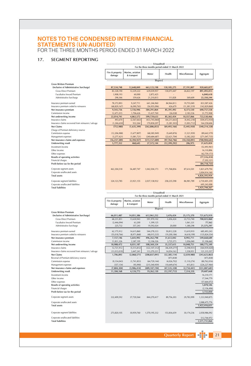FOR THE THREE MONTHS PERIOD ENDED 31 MARCH 2022

#### 17. SEGMENT REPORTING

|                                                               |                 |                  | For the three months period ended 31 March 2022 |                                                 |                |                                               |
|---------------------------------------------------------------|-----------------|------------------|-------------------------------------------------|-------------------------------------------------|----------------|-----------------------------------------------|
|                                                               | Fire & property | Marine, aviation |                                                 |                                                 |                |                                               |
|                                                               | damage          | & transport      | Motor                                           | Health                                          | Miscellaneous  | Aggregate                                     |
|                                                               |                 |                  |                                                 |                                                 |                |                                               |
|                                                               |                 |                  | (Rupees)                                        |                                                 |                |                                               |
| <b>Gross Written Premium</b>                                  |                 |                  |                                                 |                                                 |                |                                               |
| (inclusive of Administrative Surcharge)                       | 87,534,748      | 12,648,849       | 663,123,198                                     | 130, 185, 275                                   | 27,191,807     | 920,683,877                                   |
| <b>Gross Direct Premium</b>                                   | 83,328,190      | 12,229,222       | 639,039,957                                     | 130,073,447                                     | 26,822,197     | 891,493,013                                   |
| Facultative Inward Premium                                    | 3,908,193       | 60,000           | 2,872,425                                       | 111,828                                         | 369,609        | 6,840,618<br>22,350,244                       |
| Administrative Surcharge                                      | 298,366         | 359,626          | 21,210,815                                      |                                                 |                |                                               |
| Insurance premium earned                                      | 78,372,893      | 9,247,711        | 641,246,960                                     | 84,964,813                                      | 19,755,049     | 833,587,426                                   |
| Insurance premium ceded to reinsurers                         | (68, 829, 167)  | (6,090,765)      | (56, 955, 096)                                  | 426,679                                         | (11, 381, 519) | (142, 829, 868)                               |
| Net insurance premium                                         | 9,543,726       | 3,156,946        | 584,291,864                                     | 85,391,492                                      | 8,373,530      | 690,757,558                                   |
| Commission income                                             | 12,471,015      | 1,706,626        | 15,437,769                                      | (26, 038)                                       | 2,183,536      | 31,772,908                                    |
| Net underwriting income                                       | 22,014,741      | 4,863,572        | 599,729,633                                     | 85,365,454                                      | 10,557,066     | 722,530,466                                   |
| Insurance claims                                              | 493,670         | (2, 567, 663)    | (433, 745, 060)                                 | (64, 211, 663)                                  | (4, 442, 218)  | (504, 472, 934)                               |
| Insurance claims recovered from reinsurers / salvage          | (1, 246, 650)   | 932,264          | 170,858,207                                     | (5, 281, 503)                                   | (1,003,712)    | 164,258,606                                   |
| <b>Net Claims</b>                                             | (752, 980)      | (1,635,399)      | (262, 886, 853)                                 | (69, 493, 166)                                  | (5, 445, 930)  | (340, 214, 328)                               |
| Charge of Premium deficiency reserve                          |                 |                  |                                                 |                                                 |                |                                               |
| Commission expense                                            | (12, 206, 988)  | (1,677,807)      | (68, 585, 949)                                  | (5,649,876)                                     | (1,521,959)    | (89, 642, 579)                                |
| Management expenses                                           | (3,277,421)     | (1,081,721)      | (240, 684, 687)                                 | (22, 621, 704)                                  | (3, 382, 202)  | (271, 047, 735)                               |
| Net insurance claims and expenses                             | (16, 237, 389)  | (4, 394, 927)    | (572, 157, 489)                                 | (97, 764, 746)                                  | (10, 350, 091) | (700, 904, 642)                               |
| <b>Underwriting result</b>                                    | 5,777,352       | 468,645          | 27,572,144                                      | (12, 399, 292)                                  | 206,975        | 21,625,824                                    |
| Investment income                                             |                 |                  |                                                 |                                                 |                | (52, 493, 961)                                |
| Other income                                                  |                 |                  |                                                 |                                                 |                | 16,110,896                                    |
| Other expenses                                                |                 |                  |                                                 |                                                 |                | (62, 759, 173)                                |
| Results of operating activities                               |                 |                  |                                                 |                                                 |                | (77, 516, 414)                                |
| Financial charges<br>Profit before tax for the period         |                 |                  |                                                 |                                                 |                | (7, 202, 321)<br>(84, 718, 735)               |
|                                                               |                 |                  |                                                 |                                                 |                |                                               |
| Corporate segment assets                                      | 463,304,518     | 56.487.747       | 1.042.504.173                                   | 171.768.856                                     | 87,614,501     | 1,821,679,794                                 |
| Corporate unallocated assets                                  |                 |                  |                                                 |                                                 |                | 3.004.914.160                                 |
| <b>Total assets</b>                                           |                 |                  |                                                 |                                                 |                | 4,826,593,954                                 |
| Corporate segment liabilities                                 | 324.123.785     |                  | 2.037.138.932                                   | 258.235.598                                     |                |                                               |
| Corporate unallocated liabilities                             |                 | 23,921,155       |                                                 |                                                 | 86,981,789     | 2,730,401,259                                 |
| <b>Total liabilities</b>                                      |                 |                  |                                                 |                                                 |                | 695,343,008<br>3,425,744,267                  |
|                                                               |                 |                  |                                                 |                                                 |                |                                               |
|                                                               |                 |                  | --- (Unaudited) ----                            |                                                 |                |                                               |
|                                                               |                 |                  |                                                 |                                                 |                |                                               |
|                                                               |                 |                  |                                                 | For the three months period ended 31 March 2021 |                |                                               |
|                                                               | Fire & property | Marine, aviation |                                                 |                                                 |                |                                               |
|                                                               | damage          | & transport      | Motor                                           | Health                                          | Miscellaneous  | Aggregate                                     |
|                                                               |                 |                  |                                                 |                                                 |                |                                               |
|                                                               |                 |                  |                                                 | ------------- (Rupees) --------------           |                |                                               |
| <b>Gross Written Premium</b>                                  |                 |                  |                                                 |                                                 |                |                                               |
| (inclusive of Administrative Surcharge)                       | 66,011,487      | 14,051,386       | 612,961,252                                     | 3,476,424                                       | 25.175.370     | 721,675,919                                   |
| <b>Gross Direct Premium</b>                                   | 68,231,851      | 13,630,943       | 591,970,102                                     | 3,456,424                                       | 22,733,740     | 700,023,060                                   |
| Facultative Inward Premium                                    | (2,446,094)     | 63.200           | 1.399.125                                       |                                                 | 1,061,331      | 77,562                                        |
| Administrative Surcharge                                      | 225,732         | 357,243          | 19,592,024                                      | 20,000                                          | 1,380,298      | 21,575,297                                    |
| Insurance premium earned                                      | 62,175,912      | 14,615,860       | 544,278,333                                     | 50.812.228                                      | 13,610,910     | 685,493,243                                   |
| Insurance premium ceded to reinsurers                         | (55,018,766)    | (8,971,868)      | (48, 015, 535)                                  | (19, 200, 186)                                  | (4,618,199)    |                                               |
| Net insurance premium                                         | 7,157,146       | 5,643,992        | 496,262,798                                     | 31,612,042                                      | 8,992,711      | 549,668,689                                   |
| Commission income                                             | 11,831,326      | 2,387,195        | 12,106,526                                      | 3,725,573                                       | 1,056,040      | 31,106,660                                    |
| Net underwriting income                                       | 18,988,472      | 8,031,187        | 508,369,324                                     | 35,337,615                                      | 10,048,751     | 580,775,349                                   |
| Insurance claims                                              | 12,721,912      | (5,515,812)      | (322, 107, 312)                                 | (46, 439, 277)                                  | (3,598,931)    | (364, 939, 420)                               |
| Insurance claims recovered from reinsurers / salvage          | (11, 015, 019)  | 3.447.241        | 113,270,221                                     | 14,054,163                                      | 1,558,951      | 121,315,557                                   |
| <b>Net Claims</b>                                             | 1,706,893       | (2,068,571)      | (208, 837, 091)                                 | (32, 385, 114)                                  | (2,039,980)    | (243, 623, 863)                               |
| Reversal of Premium deficiency reserve                        |                 |                  |                                                 | (473, 838)                                      |                | (473, 838)                                    |
| Commission expense                                            | (9, 154, 043)   | (1, 741, 853)    | (64, 729, 144)                                  | (4,026,702)                                     | (1, 110, 274)  | (80, 762, 016)                                |
| Management expenses                                           | (357, 154)      | (95, 990)        | (215, 540, 959)                                 | (10, 649, 674)                                  | 415,813        | (226, 227, 964)                               |
| Net insurance claims and expenses                             | (7,804,304)     | (3,906,414)      | (489, 107, 194)                                 | (47, 535, 328)                                  | (2,734,441)    | (551,087,681)                                 |
| <b>Underwriting result</b>                                    | 11.184.168      | 4,124,773        | 19,262,130                                      | (12, 197, 713)                                  | 7,314,310      | 29,687,668                                    |
| Investment income                                             |                 |                  |                                                 |                                                 |                | 16,310,171                                    |
| Other income                                                  |                 |                  |                                                 |                                                 |                | 17,544,779                                    |
| Other expenses                                                |                 |                  |                                                 |                                                 |                | (57, 664, 072)                                |
| Results of operating activities                               |                 |                  |                                                 |                                                 |                | 5,878,546                                     |
| Financial charges                                             |                 |                  |                                                 |                                                 |                |                                               |
| Profit before tax for the period                              |                 |                  |                                                 |                                                 |                |                                               |
| Corporate segment assets                                      | 332,409,592     | 37,720,564       | 844,270,417                                     | 89,756,303                                      | 29,783,999     | 1,333,940,875                                 |
|                                                               |                 |                  |                                                 |                                                 |                | (2, 156, 496)<br>3,722,050                    |
| Corporate unallocated assets                                  |                 |                  |                                                 |                                                 |                | 2,088,475,776                                 |
| <b>Total assets</b>                                           |                 |                  |                                                 |                                                 |                | 3,422,416,651                                 |
|                                                               |                 |                  |                                                 |                                                 |                |                                               |
| Corporate segment liabilities                                 | 273,820,105     | 30,959,760       | 1,570,195,332                                   | 153,836,659                                     | 30,174,236     | 2,058,986,092                                 |
| Corporate unallocated liabilities<br><b>Total liabilities</b> |                 |                  |                                                 |                                                 |                | (135, 824, 554)<br>512.744.972<br>571.731.064 |

........... (Unaudited) ------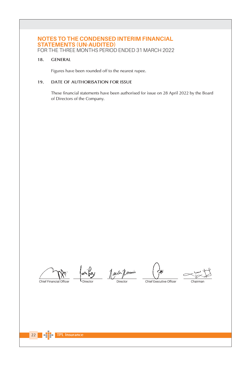FOR THE THREE MONTHS PERIOD ENDED 31 MARCH 2022

#### $18.$ **GENERAL**

Figures have been rounded off to the nearest rupee.

#### 19. DATE OF AUTHORISATION FOR ISSUE

These financial statements have been authorised for issue on 28 April 2022 by the Board of Directors of the Company.

Chief Financial Officer

1 jennir Directo

Chief Executive Officer

Chairmar

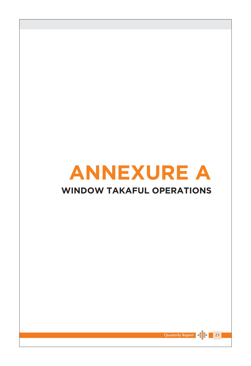# **ANNEXURE A**

# **WINDOW TAKAFUL OPERATIONS**



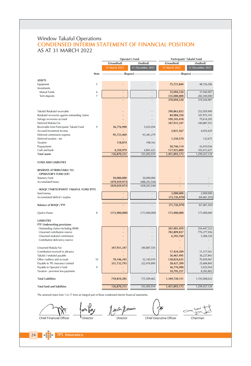## Window Takaful Operations **CONDENSED INTERIM STATEMENT OF FINANCIAL POSITION** AS AT 31 MARCH 2022

|                                                     |                      | Operator's Fund  |                            | Participants' Takaful Fund |
|-----------------------------------------------------|----------------------|------------------|----------------------------|----------------------------|
|                                                     | (Unaudited)          | (Audited)        | (Unaudited)                | (Audited)                  |
|                                                     | 31 March 2022        | 31 December 2021 | 31 March 2022              | 31 December 2021           |
| Note                                                | --------- (Rupees) - |                  | ----------- (Rupees) ----- |                            |
|                                                     |                      |                  |                            |                            |
| <b>ASSETS</b>                                       |                      |                  |                            |                            |
| 5<br>Equipment                                      |                      |                  | 75,721,844                 | 48,726,296                 |
| Investments                                         |                      |                  |                            |                            |
| 6<br>Mutual Funds<br>$\overline{7}$                 |                      |                  | 35,094,530                 | 37,044,907                 |
| Term deposits                                       |                      |                  | 335,000,000<br>370,094,530 | 282,500,000<br>319,544,907 |
|                                                     |                      |                  |                            |                            |
|                                                     |                      |                  |                            |                            |
| Takaful/ Retakaful receivable                       |                      |                  | 290,863,832                | 252,059,900                |
| Retakaful recoveries against outstanding claims     |                      |                  | 84,984,250                 | 107,975,191                |
| Salvage recoveries accrued                          |                      |                  | 109,245,418                | 79,614,305                 |
| Deferred Wakala Fee                                 |                      |                  | 347,931,247                | 340,887,553                |
| 9<br>Receivable from Participants' Takaful Fund     | 36,776,990           | 5,025,054        |                            |                            |
| Accrued Investment Income                           |                      |                  | 2,831,567                  | 4,055,629                  |
| Deferred commission expense                         | 95,723,469           | 93,381,279       |                            |                            |
| Deferred taxation - net                             |                      |                  | 1,550,570                  | 132,675                    |
| Taxation                                            | 118,874              | 198,163          |                            |                            |
| Prepayments                                         |                      |                  | 50,746,114                 | 43,019,036                 |
| Cash and bank                                       | 4,250,979            | 4,801,423        | 117,923,800                | 103,411,637                |
| <b>Total assets</b>                                 | 136,870,312          | 103,405,919      | 1,451,893,172              | 1,299,427,129              |
| <b>FUND AND LIABILITIES</b>                         |                      |                  |                            |                            |
| RESERVES ATTRIBUTABLE TO:<br>- OPERATOR'S FUND (OF) |                      |                  |                            |                            |
| <b>Statutory Fund</b>                               | 50,000,000           | 50,000,000       |                            |                            |
| Accumulated losses                                  | (479, 039, 973)      | (488, 203, 544)  |                            |                            |
|                                                     | (429, 039, 973)      | (438, 203, 544)  |                            |                            |
| - WAQF / PARTICIPANTS' TAKAFUL FUND (PTF)           |                      |                  |                            |                            |
| Seed money                                          | $\overline{a}$       |                  | 2,000,000                  | 2,000,000                  |
| Accumulated (deficit) / surplus                     |                      |                  | (73, 726, 979)             | (69, 481, 503)             |
|                                                     |                      |                  |                            |                            |
| <b>Balance of WAQF / PTF</b>                        |                      |                  | (71, 726, 979)             | (67, 481, 503)             |
| 8<br>Qard-e-Hasna                                   | (173,900,000)        | (173,900,000)    | 173,900,000                | 173,900,000                |
| <b>LIABILITIES</b>                                  |                      |                  |                            |                            |
| PTF Underwriting provisions                         |                      |                  |                            |                            |
| Outstanding claims (including IBNR)                 |                      |                  | 301,901,459                | 254,447,322                |
| Unearned contribution reserve                       |                      |                  | 782,809,837                | 776,377,926                |
| Unearned retakaful commission                       |                      |                  | 6,292,760                  | 5,284,330                  |
| Contribution deficiency reserve                     |                      |                  |                            |                            |
|                                                     |                      |                  |                            |                            |
| Unearned Wakala Fee                                 | 347,931,247          | 340,887,554      |                            |                            |
| Contribution received in advance                    |                      |                  | 17,424,509                 | 11,117,543                 |
| Takaful / retakaful payable                         |                      |                  | 26,467,495                 | 36,227,843                 |
| Other creditors and accruals<br>10                  | 70,146,245           | 52,145,019       | 138,824,635                | 70,459,967                 |
| Payable to TPL Insurance Limited                    | 321,732,793          | 322,476,890      | 28,427,209                 | 25,684,845                 |
| Payable to Operator's Fund<br>9                     |                      |                  | 36,776,990                 | 5,025,054                  |
| Taxation - provision less payments                  |                      |                  | 10,795,257                 | 8,383,802                  |
| <b>Total Liabilities</b>                            | 739,810,285          | 715,509,463      | 1,349,720,151              | 1,193,008,632              |
| <b>Total fund and liabilities</b>                   | 136,870,312          | 103,405,919      | 1,451,893,172              | 1,299,427,129              |

The annexed notes from 1 to 17 form an integral part of these condensed interim financial statements.

min

**L** Director

1 auch Jermin Director

Chairman

Chief Financial Officer

**TPL Insurance** 

 $\begin{array}{|c|c|c|}\n\hline\n24 & -1\n\end{array}$ 

Chief Executive Officer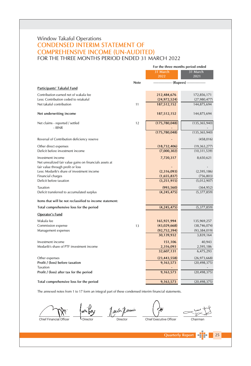## Window Takaful Operations **CONDENSED INTERIM STATEMENT OF COMPREHENSIVE INCOME (UN-AUDITED)** FOR THE THREE MONTHS PERIOD ENDED 31 MARCH 2022

|                                                          | For the three months period ended |                                         |                           |  |
|----------------------------------------------------------|-----------------------------------|-----------------------------------------|---------------------------|--|
|                                                          |                                   | 31 March<br>2022                        | 31 March<br>2021          |  |
|                                                          | Note                              | -------------- (Rupees) --------------- |                           |  |
| Participants' Takaful Fund                               |                                   |                                         |                           |  |
| Contribution earned net of wakala fee                    |                                   | 212,484,676                             | 172,856,171               |  |
| Less: Contribution ceded to retakaful                    |                                   | (24, 972, 524)                          | (27,980,477)              |  |
| Net takaful contribution                                 | 11                                | 187,512,152                             | 144,875,694               |  |
| Net underwriting income                                  |                                   | 187,512,152                             | 144,875,694               |  |
| Net claims - reported / settled                          | 12                                | (175, 780, 048)                         | (135, 365, 940)           |  |
| $-$ IBNR                                                 |                                   |                                         |                           |  |
|                                                          |                                   | (175, 780, 048)                         | (135, 365, 940)           |  |
| Reversal of Contribution deficiency reserve              |                                   |                                         | (458, 016)                |  |
| Other direct expenses                                    |                                   | (18, 732, 406)                          | (19, 363, 277)            |  |
| Deficit before investment income                         |                                   | (7,000,302)                             | (10, 311, 539)            |  |
| Investment income                                        |                                   | 7,720,317                               | 8,650,621                 |  |
| Net unrealized fair value gains on financials assets at  |                                   |                                         |                           |  |
| fair value through profit or loss                        |                                   |                                         |                           |  |
| Less: Modarib's share of investment income               |                                   | (2,316,093)                             | (2,595,186)               |  |
| Financial charges<br>Deficit before taxation             |                                   | (1,655,837)<br>(3, 251, 915)            | (756, 803)<br>(5,012,907) |  |
|                                                          |                                   |                                         |                           |  |
| Taxation                                                 |                                   | (993, 560)                              | (364, 952)                |  |
| Deficit transferred to accumulated surplus               |                                   | (4, 245, 475)                           | (5,377,859)               |  |
| Items that will be not reclassified to income statement: |                                   |                                         |                           |  |
| Total comprehensive loss for the period                  |                                   | (4, 245, 475)                           | (5,377,859)               |  |
| Operator's Fund                                          |                                   |                                         |                           |  |
| Wakala fee                                               |                                   | 165,921,994                             | 135,969,257               |  |
| Commission expense                                       | 13                                | (43,029,668)                            | (38, 746, 074)            |  |
| Management expenses                                      |                                   | (92, 752, 394)                          | (93, 384, 019)            |  |
|                                                          |                                   | 30,139,932                              | 3,839,164                 |  |
| Investment income                                        |                                   | 151,106                                 | 40,943                    |  |
| Modarib's share of PTF investment income                 |                                   | 2,316,093                               | 2,595,186                 |  |
|                                                          |                                   | 32,607,131                              | 6,475,293                 |  |
| Other expenses                                           |                                   | (23, 443, 558)                          | (26,973,668)              |  |
| Profit / (loss) before taxation                          |                                   | 9,163,573                               | (20, 498, 375)            |  |
| Taxation                                                 |                                   |                                         |                           |  |
| Profit / (loss) after tax for the period                 |                                   | 9,163,573                               | (20, 498, 375)            |  |
| Total comprehensive loss for the period                  |                                   | 9,163,573                               | (20, 498, 375)            |  |

The annexed notes from 1 to 17 form an integral part of these condensed interim financial statements.

Chief Financial Officer

jonwin Tailor Director

Chief Executive Officer

Chairman

**Quarterly Report**  $\vert$  25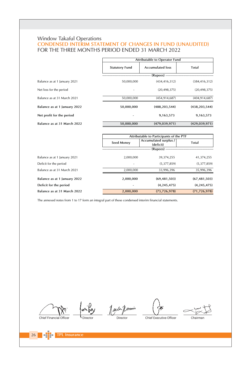# Window Takaful Operations<br>
CONDENSED INTERIM STATEMENT OF CHANGES IN FUND (UNAUDITED) FOR THE THREE MONTHS PERIOD ENDED 31 MARCH 2022

|                              |                       | Attributable to Operator Fund |                 |  |  |  |
|------------------------------|-----------------------|-------------------------------|-----------------|--|--|--|
|                              | <b>Statutory Fund</b> | <b>Accumulated loss</b>       | Total           |  |  |  |
|                              |                       | $(Rupees)$ --                 |                 |  |  |  |
| Balance as at 1 January 2021 | 50.000.000            | (434, 416, 312)               | (384, 416, 312) |  |  |  |
| Net loss for the period      |                       | (20.498.375)                  | (20, 498, 375)  |  |  |  |
| Balance as at 31 March 2021  | 50.000.000            | (454.914.687)                 | (404, 914, 687) |  |  |  |
| Balance as at 1 January 2022 | 50,000,000            | (488, 203, 544)               | (438, 203, 544) |  |  |  |
| Net profit for the period    |                       | 9,163,573                     | 9,163,573       |  |  |  |
| Balance as at 31 March 2022  | 50,000,000            | (479, 039, 971)               | (429, 039, 971) |  |  |  |

|                              | Attributable to Participants of the PTF          |                |                |  |  |
|------------------------------|--------------------------------------------------|----------------|----------------|--|--|
|                              | Accumulated surplus /<br>Seed Money<br>(deficit) |                | Total          |  |  |
|                              |                                                  | (Rupees)       |                |  |  |
| Balance as at 1 January 2021 | 2,000,000                                        | 39,374,255     | 41,374,255     |  |  |
| Deficit for the period       |                                                  | (5,377,859)    | (5,377,859)    |  |  |
| Balance as at 31 March 2021  | 2.000.000                                        | 33.996.396     | 35.996.396     |  |  |
| Balance as at 1 January 2022 | 2,000,000                                        | (69, 481, 503) | (67, 481, 503) |  |  |
| Deficit for the period       |                                                  | (4, 245, 475)  | (4, 245, 475)  |  |  |
| Balance as at 31 March 2022  | 2,000,000                                        | (73, 726, 978) | (71, 726, 978) |  |  |

The annexed notes from 1 to 17 form an integral part of these condensed interim financial statements.

Chief Financial Officer

 $\sqrt{26}$ 

mily Jauce Jemin · Director

Director

Chief Executive Officer Chairman

**TPL Insurance**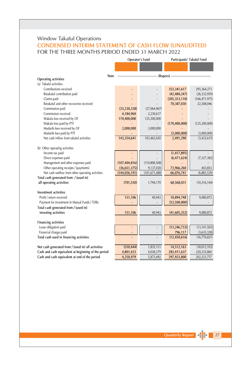# Window Takaful Operations **CONDENSED INTERIM STATEMENT OF CASH FLOW (UNAUDITED)** FOR THE THREE MONTHS PERIOD ENDED 31 MARCH 2022

|                                                               |                 | Operator's Fund |                                         | Participants' Takaful Fund |
|---------------------------------------------------------------|-----------------|-----------------|-----------------------------------------|----------------------------|
|                                                               |                 |                 |                                         |                            |
|                                                               |                 |                 |                                         |                            |
| Note<br><b>Operating activities</b>                           |                 |                 | -------------- (Rupees) --------------- |                            |
| (a) Takaful activities                                        |                 |                 |                                         |                            |
| Contributions received                                        |                 |                 | 352,341,617                             | 295,364,273                |
| Retakaful contribution paid                                   |                 |                 | (42, 484, 247)                          | (26, 332, 959)             |
| Claims paid                                                   |                 |                 | (205, 353, 110)                         | (166, 471, 975)            |
| Retakaful and other recoveries received                       |                 |                 | 70,387,030                              | 22,308,046                 |
| Commission paid                                               | (33, 230, 328)  | (27,064,967)    |                                         |                            |
| Commission received                                           | 4,184,969       | 2,230,617       |                                         |                            |
| Wakala fees received by OF                                    | 170,400,000     | 125,300,000     |                                         |                            |
| Wakala fees paid by PTF                                       |                 |                 | (170, 400, 000)                         | (125, 300, 000)            |
| Mudarib fees received by OF                                   | 2,000,000       | 3,000,000       |                                         |                            |
| Mudarib fees paid by PTF                                      |                 |                 | (2,000,000)                             | (3,000,000)                |
| Net cash inflow from takaful activities                       | 143,354,641     | 103,465,650     | 2,491,290                               | (3,432,615)                |
|                                                               |                 |                 |                                         |                            |
| (b) Other operating activities                                |                 |                 |                                         |                            |
| Income tax paid                                               |                 |                 | (1, 417, 895)                           |                            |
| Direct expenses paid                                          |                 |                 | (6, 471, 624)                           | (7, 327, 382)              |
| Management and other expenses paid                            | (107, 404, 816) | (110,808,508)   |                                         |                            |
| Other operating receipts / (payments)                         | (36,651,375)    | 9,137,028       | 73,966,260                              | 443,853                    |
| Net cash outflow from other operating activities              | (144, 056, 191) | (101, 671, 480) | 66,076,741                              | (6,883,529)                |
| Total cash generated from / (used in)                         |                 |                 |                                         |                            |
| all operating activities                                      | (701, 550)      | 1,794,170       | 68,568,031                              | (10, 316, 144)             |
| Investment activities                                         |                 |                 |                                         |                            |
| Profit / return received                                      | 151,106         | 40,943          | 10,894,748                              | 9,080,872                  |
| Payment for investment in Mutual Funds / TDRs                 |                 |                 | (52,500,000)                            |                            |
|                                                               |                 |                 |                                         |                            |
| Total cash generated from / (used in)<br>investing activities | 151,106         | 40,943          |                                         | 9,080,872                  |
|                                                               |                 |                 | (41, 605, 252)                          |                            |
| <b>Financing activities</b>                                   |                 |                 |                                         |                            |
| Lease obligation paid                                         |                 |                 | (13, 246, 733)                          | (13, 141, 503)             |
| Financial charges paid                                        |                 |                 | 796,117                                 | (3,635,328)                |
| Total cash used in financing activities                       |                 |                 | (12, 450, 616)                          | (16, 776, 831)             |
|                                                               |                 |                 |                                         |                            |
| Net cash generated from / (used in) all activities            | (550, 444)      | 1,835,113       | 14,512,163                              | (18,012,103)               |
| Cash and cash equivalent at beginning of the period           | 4,801,423       | 4,038,379       | 283,411,637                             | 220,235,860                |
| Cash and cash equivalent at end of the period                 | 4,250,979       | 5,873,492       | 297,923,800                             | 202,223,757                |

Quarterly Report 27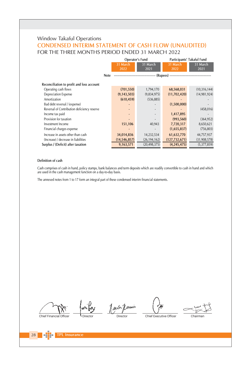# Window Takaful Operations **CONDENSED INTERIM STATEMENT OF CASH FLOW (UNAUDITED)** FOR THE THREE MONTHS PERIOD ENDED 31 MARCH 2022

|                                             |                  | Operator's Fund  |                  | Participants' Takaful Fund |  |
|---------------------------------------------|------------------|------------------|------------------|----------------------------|--|
|                                             | 31 March<br>2022 | 31 March<br>2021 | 31 March<br>2022 | 31 March<br>2021           |  |
| <b>Note</b>                                 |                  |                  |                  |                            |  |
| Reconciliation to profit and loss account   |                  |                  |                  |                            |  |
| Operating cash flows                        | (701, 550)       | 1,794,170        | 68,568,031       | (10, 316, 144)             |  |
| <b>Depreciation Expense</b>                 | (9, 143, 503)    | (9,834,975)      | (11,702,420)     | (14, 981, 924)             |  |
| Amortization                                | (610, 459)       | (536, 885)       |                  |                            |  |
| Bad debt reversal / (expense)               |                  |                  | (1,500,000)      |                            |  |
| Reversal of Contribution deficiency reserve |                  |                  |                  | (458, 016)                 |  |
| Income tax paid                             |                  |                  | 1,417,895        |                            |  |
| Provision for taxation                      |                  |                  | (993, 560)       | (364, 952)                 |  |
| Investment Income                           | 151,106          | 40,943           | 7,720,317        | 8,650,621                  |  |
| Financial charges expense                   |                  |                  | (1,655,837)      | (756, 803)                 |  |
| Increase in assets other than cash          | 34,014,836       | 14,232,534       | 61,632,770       | 44,757,937                 |  |
| (Increase) / decrease in liabilities        | (14, 546, 857)   | (26, 194, 162)   | (127, 732, 671)  | (31,908,578)               |  |
| Surplus / (Deficit) after taxation          | 9,163,571        | (20, 498, 375)   | (4, 245, 475)    | (5,377,859)                |  |

#### Definition of cash

Cash comprises of cash in hand, policy stamps, bank balances and term deposits which are readily convertible to cash in hand and which<br>are used in the cash management function on a day-to-day basis.

The annexed notes from 1 to 17 form an integral part of these condensed interim financial statements.

Chief Financial Officer

Jack Jennin Director

Chief Executive Officer

Chairman

28

**FPL Insurance**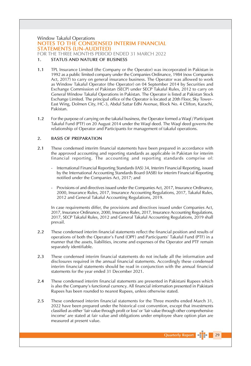## **Window Takaful Operations** NOTES TO THE CONDENSED INTERIM FINANCIAL **STATEMENTS (UN-AUDITED)**

FOR THE THREE MONTHS PERIOD ENDED 31 MARCH 2022

#### **STATUS AND NATURE OF BUSINESS**  $\mathbf{1}$

- $1.1$ TPL Insurance Limited (the Company or the Operator) was incorporated in Pakistan in 1992 as a public limited company under the Companies Ordinance, 1984 (now Companies Act, 2017) to carry on general insurance business. The Operator was allowed to work as Window Takaful Operator (the Operator) on 04 September 2014 by Securities and Exchange Commission of Pakistan (SECP) under SECP Takaful Rules, 2012 to carry on General Window Takaful Operations in Pakistan. The Operator is listed at Pakistan Stock Exchange Limited. The principal office of the Operator is located at 20th Floor, Sky Tower-East Wing, Dolmen City, HC-3, Abdul Sattar Edhi Avenue, Block No. 4 Clifton, Karachi, Pakistan.
- $1.2$ For the purpose of carrying on the takaful business, the Operator formed a Waqf / Participant Takaful Fund (PTF) on 20 August 2014 under the Wagf deed. The Wagf deed governs the relationship of Operator and Participants for management of takaful operations.

#### $\overline{2}$ . **BASIS OF PREPARATION**

- $2.1$ These condensed interim financial statements have been prepared in accordance with the approved accounting and reporting standards as applicable in Pakistan for interim financial reporting. The accounting and reporting standards comprise of:
	- International Financial Reporting Standards (IAS) 34, Interim Financial Reporting, issued by the International Accounting Standards Board (IASB) for interim Financial Reporting notified under the Companies Act, 2017; and
	- Provisions of and directives issued under the Companies Act, 2017, Insurance Ordinance, 2000, Insurance Rules, 2017, Insurance Accounting Regulations, 2017, Takaful Rules, 2012 and General Takaful Accounting Regulations, 2019.

In case requirements differ, the provisions and directives issued under Companies Act, 2017, Insurance Ordinance, 2000, Insurance Rules, 2017, Insurance Accounting Regulations, 2017, SECP Takaful Rules, 2012 and General Takaful Accounting Regulations, 2019 shall prevail.

- $2.2$ These condensed interim financial statements reflect the financial position and results of operations of both the Operator's Fund (OPF) and Participants' Takaful Fund (PTF) in a manner that the assets, liabilities, income and expenses of the Operator and PTF remain separately identifiable.
- $2.3$ These condensed interim financial statements do not include all the information and disclosures required in the annual financial statements. Accordingly these condensed interim financial statements should be read in conjunction with the annual financial statements for the year ended 31 December 2021.
- $2.4$ These condensed interim financial statements are presented in Pakistani Rupees which is also the Company's functional currency. All financial information presented in Pakistani Rupees has been rounded to nearest Rupees, unless otherwise stated.
- These condensed interim financial statements for the Three months ended March 31, 2.5 2022 have been prepared under the historical cost convention, except that investments classified as either 'fair value through profit or loss' or 'fair value through other comprehensive income' are stated at fair value and obligations under employee share option plan are measured at present value.

**Quarterly Report** 

 $\vert$  29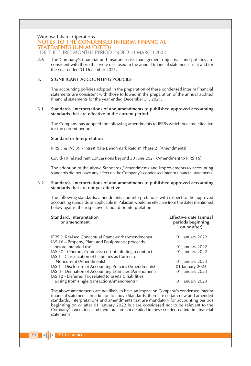## Window Takaful Operations

## NOTES TO THE CONDENSED INTERIM FINANCIAL **STATEMENTS (UN-AUDITED)**

FOR THE THREE MONTHS PERIOD ENDED 31 MARCH 2022

2.6 The Company's financial and insurance risk management objectives and policies are consistent with those that were disclosed in the annual financial statements as at and for the year ended 31 December 2021.

#### 3. SIGNIFICANT ACCOUNTING POLICIES

The accounting policies adopted in the preparation of these condensed interim financial statements are consistent with those followed in the preparation of the annual audited financial statements for the year ended December 31, 2021.

#### $3.1$ Standards, interpretations of and amendments to published approved accounting standards that are effective in the current period.

The Company has adopted the following amendments to IFRSs which became effective for the current period:

#### Standard or Interpretation

IERS 3 & IAS 39 - Intrest Rate Benchmark Reform Phase 2 (Amendments)

Covid-19 related rent concessions beyond 30 June 2021 (Amendment to IFRS 16)

The adoption of the above Standards / amendments and improvements to accounting standards did not have any effect on the Company's condensed interim financial statements.

#### $3.2$ Standards, interpretations of and amendments to published approved accounting standards that are not yet effective.

The following standards, amendments and interpretations with respect to the approved accounting standards as applicable in Pakistan would be effective from the dates mentioned below against the respective standard or interpretation:

| Standard, interpretation<br>or amendment                  | Effective date (annual<br>periods beginning<br>on or after) |
|-----------------------------------------------------------|-------------------------------------------------------------|
| <b>IFRS 3</b> Revised Conceptual Framework (Amendments)   | 01 January 2022                                             |
| IAS 16 – Property, Plant and Equipments: proceeds         |                                                             |
| before intended use                                       | 01 January 2022                                             |
| IAS 37 - Onerous Contracts: cost of fulfilling a contract | 01 January 2022                                             |
| IAS 1 - Classification of Liabilities as Current ot       |                                                             |
| Noncurrent (Amendments)                                   | 01 January 2023                                             |
| IAS 1 - Disclosure of Accounting Policies (Amendments)    | 01 January 2023                                             |
| IAS 8 - Defination of Accounting Estimates (Amendments)   | 01 January 2023                                             |
| IAS 12 - Deferred Tax related to assets & liabilities     |                                                             |
| arising from single transaction(Amendments)"              | 01 January 2023                                             |
|                                                           |                                                             |

The above amendments are not likely to have an impact on Company's condensed interim financial statements. In addition to above Standards, there are certain new and amended standards, interpretations and amendments that are mandatory for accounting periods beginning on or after 01 January 2022 but are considered not to be relevant to the Company's operations and therefore, are not detailed in these condensed interim financial statements.

**TPL Insurance** 

 $30$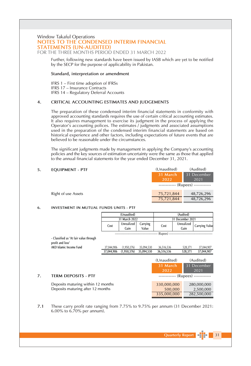#### Window Takaful Operations NOTES TO THE CONDENSED INTERIM FINANCIAL **STATEMENTS (UN-AUDITED)** FOR THE THREE MONTHS PERIOD ENDED 31 MARCH 2022

Further, following new standards have been issued by IASB which are yet to be notified by the SECP for the purpose of applicability in Pakistan.

#### Standard, interpretation or amendment

IFRS 1 - First time adoption of IFRSs IFRS 17 - Insurance Contracts IFRS 14 - Regulatory Deferral Accounts

#### CRITICAL ACCOUNTING ESTIMATES AND JUDGEMENTS  $4.$

The preparation of these condensed interim financial statements in conformity with approved accounting standards requires the use of certain critical accounting estimates. It also requires management to exercise its judgment in the process of applying the Operator's accounting polices. The estimates / judgments and associated assumptions used in the preparation of the condensed interim financial statements are based on historical experience and other factors, including expectations of future events that are believed to be reasonable under the circumstances.

The significant judgments made by management in applying the Company's accounting policies and the key sources of estimation uncertainty were the same as those that applied to the annual financial statements for the year ended December 31, 2021.

#### **EQUIPMENT - PTF** 5.

Right of use Assets

7.

| tonaudited/ | (Auglied)          |
|-------------|--------------------|
| 31 March    | 31 December        |
| 2022        | 2021               |
|             | (Rupees) --------- |
| 75,721,844  | 48,726,296         |
| 75,721,844  | 48,726,296         |

 $(A_1, A_2, A_3)$ 

 $(1, 1, 2, 3, 1, 1, 1, 1, 1)$ 

#### 6. INVESTMENT IN MUTUAL FUNDS UNITS - PTF

|                                                            | (Unaudited) |                    |                   | (Audited)   |                                    |                |  |  |
|------------------------------------------------------------|-------------|--------------------|-------------------|-------------|------------------------------------|----------------|--|--|
|                                                            |             | 31 March 2022      |                   |             | 31 December 2021                   |                |  |  |
|                                                            | Cost        | Unrealized<br>Gain | Carrying<br>Value | Cost        | Unrealized<br>Gain                 | Carrying Value |  |  |
|                                                            |             |                    |                   | (Rupees)    |                                    |                |  |  |
| - Classified as 'At fair value through<br>profit and loss' |             |                    |                   |             |                                    |                |  |  |
| AKD Islamic Income Fund                                    | 37,044,906  | (1,950,376)        | 35,094,530        | 36,516,536  | 528,371                            | 37,044,907     |  |  |
|                                                            | 37,044,906  | (1,950,376)        | 35,094,530        | 36,516,536  | 528,371                            | 37,044,907     |  |  |
|                                                            |             |                    |                   | (Unaudited) |                                    | (Audited)      |  |  |
|                                                            |             |                    |                   | 31 March    |                                    | 31 December    |  |  |
|                                                            |             |                    |                   | 2022        |                                    | 2021           |  |  |
| <b>TERM DEPOSITS - PTF</b>                                 |             |                    |                   |             | ------------ (Rupees) ------------ |                |  |  |
| Deposits maturing within 12 months                         |             |                    |                   | 330,000,000 |                                    | 280,000,000    |  |  |
| Deposits maturing after 12 months                          |             |                    |                   | 500,000     |                                    | 2,500,000      |  |  |
|                                                            |             |                    |                   | 335,000,000 |                                    | 282,500,000    |  |  |

 $7.1$ These carry profit rate ranging from 7.75% to 9.75% per annum (31 December 2021: 6.00% to  $6.70\%$  per annum).

 $\sqrt{31}$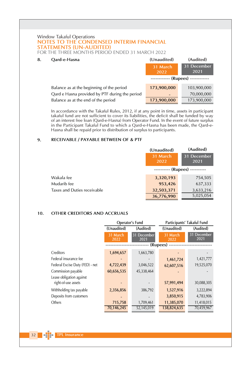## Window Takaful Operations NOTES TO THE CONDENSED INTERIM FINANCIAL **STATEMENTS (UN-AUDITED)**

FOR THE THREE MONTHS PERIOD ENDED 31 MARCH 2022

#### 8. Oard-e-Hasna

| Oard-e-Hasna                                   | (Unaudited)      | (Audited)               |
|------------------------------------------------|------------------|-------------------------|
|                                                | 31 March<br>2022 | 31 December<br>2021     |
|                                                | ---------        | - (Rupees) ------------ |
| Balance as at the beginning of the period      | 173,900,000      | 103,900,000             |
| Qard e Hasna provided by PTF during the period |                  | 70,000,000              |
| Balance as at the end of the period            | 173,900,000      | 173,900,000             |

In accordance with the Takaful Rules, 2012, if at any point in time, assets in participant takaful fund are not sufficient to cover its liabilities, the deficit shall be funded by way of an interest free loan (Qard-e-Hasna) from Operator Fund. In the event of future surplus in the Participant Takaful Fund to which a Qard-e-Hasna has been made, the Qard-e-Hasna shall be repaid prior to distribution of surplus to participants.

#### 9. RECEIVABLE / PAYABLE BETWEEN OF & PTF

|                             | (Unaudited)      | (Audited)              |
|-----------------------------|------------------|------------------------|
|                             | 31 March<br>2022 | 31 December<br>2021    |
|                             |                  | $(Rupees)$ ----------- |
| Wakala fee                  | 3,320,193        | 754,505                |
| Mudarib fee                 | 953,426          | 637,333                |
| Taxes and Duties receivable | 32,503,371       | 3,633,216              |
|                             | 36,776,990       | 5,025,054              |

#### OTHER CREDITORS AND ACCRUALS 10.

|                                 | Operator's Fund  |                     | Participants' Takaful Fund |                     |  |
|---------------------------------|------------------|---------------------|----------------------------|---------------------|--|
|                                 | (Unaudited)      | (Audited)           | (Unaudited)                | (Audited)           |  |
|                                 | 31 March<br>2022 | 31 December<br>2021 | 31 March<br>2022           | 31 December<br>2021 |  |
|                                 |                  |                     | (Rupees) -                 |                     |  |
| Creditors                       | 1,694,657        | 1,663,780           |                            |                     |  |
| Federal insurance fee           |                  |                     | 1,461,724                  | 1,421,777           |  |
| Federal Excise Duty (FED) - net | 4,722,439        | 3,046,522           | 62,607,516                 | 19,525,070          |  |
| Commission payable              | 60,656,535       | 45,338,464          |                            |                     |  |
| Lease obligation against        |                  |                     |                            |                     |  |
| right-of-use assets             |                  |                     | 57,991,494                 | 30,088,305          |  |
| Withholding tax payable         | 2,356,856        | 386,792             | 1,527,916                  | 3,222,894           |  |
| Deposits from customers         |                  |                     | 3,850,915                  | 4,783,906           |  |
| Others                          | 715,758          | 1,709,461           | 11,385,070                 | 11,418,015          |  |
|                                 | 70,146,245       | 52,145,019          | 138,824,635                | 70,459,967          |  |

 $32$   $\blacksquare$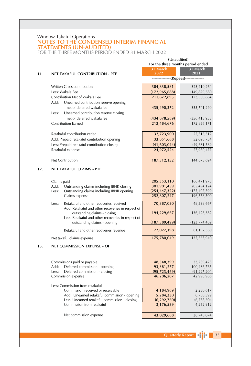# Window Takaful Operations<br>
NOTES TO THE CONDENSED INTERIM FINANCIAL **STATEMENTS (UN-AUDITED)**

FOR THE THREE MONTHS PERIOD ENDED 31 MARCH 2022

|     |                                                                                               | (Unaudited)                                  |                           |  |
|-----|-----------------------------------------------------------------------------------------------|----------------------------------------------|---------------------------|--|
|     |                                                                                               | For the three months period ended            |                           |  |
|     |                                                                                               | 31 March                                     | 31 March                  |  |
| 11. | NET TAKAFUL CONTRIBUTION - PTF                                                                | 2022<br>--------------(Rupees)-------------- | 2021                      |  |
|     |                                                                                               |                                              |                           |  |
|     | <b>Written Gross contribution</b>                                                             | 384,838,581                                  | 323,410,264               |  |
|     | Less: Wakala Fee                                                                              | (172, 965, 688)                              | (149, 879, 380)           |  |
|     | Contribution Net of Wakala Fee                                                                | 211,872,893                                  | 173,530,884               |  |
|     | Add:<br>Unearned contribution reserve opening                                                 |                                              |                           |  |
|     | net of deferred wakala fee                                                                    | 435,490,372                                  | 355,741,240               |  |
|     | Less:<br>Unearned contribution reserve closing                                                |                                              |                           |  |
|     | net of deferred wakala fee                                                                    | (434, 878, 589)                              | (356, 415, 953)           |  |
|     | <b>Contribution Earned</b>                                                                    | 212,484,676                                  | 172,856,171               |  |
|     | Retakaful contribution ceded                                                                  | 32,723,900                                   | 25,513,312                |  |
|     | Add: Prepaid retakaful contribution opening                                                   | 33,851,668                                   | 52,098,754                |  |
|     | Less: Prepaid retakaful contribution closing                                                  | (41,603,044)                                 | (49, 631, 589)            |  |
|     | Retakaful expense                                                                             | 24,972,524                                   | 27,980,477                |  |
|     |                                                                                               |                                              |                           |  |
|     | Net Contribution                                                                              | 187,512,152                                  | 144,875,694               |  |
| 12. | <b>NET TAKAFUL CLAIMS - PTF</b>                                                               |                                              |                           |  |
|     |                                                                                               |                                              |                           |  |
|     | Claims paid                                                                                   | 205,353,110                                  | 166,471,975               |  |
|     | Add:<br>Outstanding claims including IBNR closing                                             | 301,901,459                                  | 205,494,124               |  |
|     | Outstanding claims including IBNR opening<br>Less:                                            | (254, 447, 322)                              | (175, 407, 599)           |  |
|     | Claims expense                                                                                | 252,807,247                                  | 196,558,500               |  |
|     | Retakaful and other recoveries received<br>Less:                                              | 70,387,030                                   | 48,538,667                |  |
|     | Add: Retakaful and other recoveries in respect of                                             |                                              |                           |  |
|     | outstanding claims - closing                                                                  | 194,229,667                                  | 136,428,382               |  |
|     | Less: Retakaful and other recoveries in respect of                                            |                                              |                           |  |
|     | outstanding claims - opening                                                                  | (187, 589, 499)                              | (123, 774, 489)           |  |
|     | Retakaful and other recoveries revenue                                                        | 77,027,198                                   | 61,192,560                |  |
|     | Net takaful claims expense                                                                    | 175,780,049                                  | 135,365,940               |  |
| 13. | NET COMMISSION EXPENSE - OF                                                                   |                                              |                           |  |
|     |                                                                                               |                                              |                           |  |
|     |                                                                                               |                                              |                           |  |
|     | Commissions paid or payable<br>Deferred commission - opening<br>Add:                          | 48,548,399<br>93,381,277                     | 33,789,425<br>100,436,765 |  |
|     | Deferred commission - closing<br>Less:                                                        | (95, 723, 469)                               | (91, 227, 204)            |  |
|     | Commission expense                                                                            | 46,206,207                                   | 42,998,986                |  |
|     |                                                                                               |                                              |                           |  |
|     | Less: Commission from retakaful                                                               |                                              |                           |  |
|     | Commission received or receivable                                                             | 4,184,969                                    | 2,230,617                 |  |
|     | Add: Unearned retakaful commission - opening<br>Less: Unearned retakaful commission - closing | 5,284,330<br>(6, 292, 760)                   | 8,780,599<br>(6,758,304)  |  |
|     | Commission from retakaful                                                                     | 3,176,539                                    | 4,252,912                 |  |
|     |                                                                                               |                                              |                           |  |
|     | Net commission expense                                                                        | 43,029,668                                   | 38,746,074                |  |
|     |                                                                                               |                                              |                           |  |

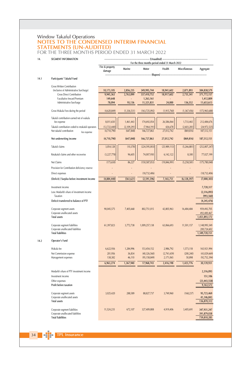# Window Takaful Operations<br>
NOTES TO THE CONDENSED INTERIM FINANCIAL **STATEMENTS (UN-AUDITED)** FOR THE THREE MONTHS PERIOD ENDED 31 MARCH 2022

| 14.  | SEGMENT INFORMATION                                                         | (Unaudited)<br>For the three months period ended 31 March 2022 |                        |                            |                          |                        |                            |
|------|-----------------------------------------------------------------------------|----------------------------------------------------------------|------------------------|----------------------------|--------------------------|------------------------|----------------------------|
|      |                                                                             | Fire & property<br>damage                                      | Marine                 | Motor                      | Health                   | Miscellaneous          | Aggregate                  |
| 14.1 | Participants' Takaful Fund                                                  |                                                                |                        | (Rupees)                   |                          |                        |                            |
|      | <b>Gross Written Contribution</b>                                           |                                                                |                        |                            |                          |                        |                            |
|      | (inclusive of Administrative Surcharge)<br><b>Gross Direct Contribution</b> | 10,173,105<br>9,945,363                                        | 2,856,235<br>2,763,099 | 349,995,744<br>337,410,752 | 18,941,602<br>18,917,602 | 2,871,893<br>2,735,341 | 384,838,579<br>371,772,157 |
|      | Facultative Inward Premium                                                  | 149,648                                                        |                        | 1,263,161                  |                          |                        | 1,412,809                  |
|      | Administrative Surcharge                                                    | 78,094                                                         | 93,136                 | 11,321,831                 | 24,000                   | 136,552                | 11,653,613                 |
|      | Gross Wakala Fees during the period                                         | (4,620,849)                                                    | (1, 336, 531)          | (163, 725, 092)            | (1,915,760)              | (1, 367, 456)          | (172, 965, 688)            |
|      | Takaful contribution earned net of wakala<br>fee expense                    | 8,011,650                                                      | 1,461,443              | 174,692,054                | 26,586,064               | 1,733,465              | 212,484,676                |
|      | Takaful contribution ceded to retakaful operators                           | (12, 722, 440)                                                 | (2, 109, 291)          | (7,964,191)                | 426,678                  | (2,603,281)            | (24, 972, 525)             |
|      | Net takaful contribution<br>fee expense                                     | (4,710,790)                                                    | (647, 848)             | 166,727,863                | 27,012,742               | (869, 816)             | 187,512,151                |
|      | Net underwriting income                                                     | (4,710,790)                                                    | (647, 848)             | 166,727,863                | 27,012,742               | (869, 816)             | 187,512,151                |
|      | Takaful claims                                                              | 3,054,128                                                      | (10, 378)              | (224, 595, 003)            | (25,989,113)             | (5, 266, 881)          | (252, 807, 247)            |
|      | Retakaful claims and other recoveries                                       | (3,227,778)                                                    | 96,605                 | 74,007,950                 | 6,142,122                | 8,300                  | 77,027,199                 |
|      | Net Claims                                                                  | (173, 650)                                                     | 86,227                 | (150, 587, 053)            | (19, 846, 991)           | (5, 258, 581)          | (175, 780, 048)            |
|      | Provision for Contribution deficiency reserve                               |                                                                |                        |                            |                          |                        |                            |
|      | Direct expenses                                                             |                                                                |                        | (18, 732, 406)             |                          |                        | (18, 732, 406)             |
|      | (Deficit) / Surplus before investment income                                | (4,884,440)                                                    | (561, 621)             | (2,591,596)                | 7,165,751                | (6, 128, 397)          | (7,000,303)                |
|      | Investment income                                                           |                                                                |                        |                            |                          |                        | 7,720,317                  |
|      | Less: Modarib's share of investment income                                  |                                                                |                        |                            |                          |                        | (2,316,093)                |
|      | Taxation                                                                    |                                                                |                        |                            |                          |                        | (993, 560)                 |
|      | Defecit transferred to balance of PTF                                       |                                                                |                        |                            |                          |                        | (4, 245, 476)              |
|      | Corporate segment assets                                                    | 90,045,575                                                     | 7,405,668              | 802,751,015                | 42,805,963               | 16,484,484             | 959,492,705                |
|      | Corporate unallocated assets                                                |                                                                |                        |                            |                          |                        | 492,400,467                |
|      | <b>Total assets</b>                                                         |                                                                |                        |                            |                          |                        | 1,451,893,172              |
|      | Corporate segment liabilities                                               | 61,397,823                                                     | 3,772,738              | 1,009,257,138              | 63,066,693               | 11,501,157             | 1,148,995,549              |
|      | Corporate unallocated liabilities                                           |                                                                |                        |                            |                          |                        | 200,724,602                |
|      | <b>Total liabilities</b>                                                    |                                                                |                        |                            |                          |                        | 1,349,720,151              |
| 14.2 | Operator's Fund                                                             |                                                                |                        |                            |                          |                        |                            |
|      | Wakala fee                                                                  | 6,622,936                                                      | 1,284,996              | 153,454,152                | 2,986,792                | 1,573,118              | 165,921,994                |
|      | Net Commission expense                                                      | 201,956                                                        | 36,834                 | (40, 326, 560)             | (2,741,659)              | (200, 240)             | (43,029,669)               |
|      | Management expenses                                                         | 138,382                                                        | 46,110                 | (95, 158, 849)             | 2,171,065                | 50,898                 | (92, 752, 394)             |
|      |                                                                             | 6,963,274                                                      | 1,367,940              | 17,968,743                 | 2,416,198                | 1,423,776              | 30,139,931                 |
|      | Modarib's share of PTF investment income                                    |                                                                |                        |                            |                          |                        | 2,316,093                  |
|      | Investment income                                                           |                                                                |                        |                            |                          |                        | 151,106                    |
|      | Other expenses                                                              |                                                                |                        |                            |                          |                        | (23, 443, 558)             |
|      | Profit before taxation                                                      |                                                                |                        |                            |                          |                        | 9,163,572                  |
|      | Corporate segment assets                                                    | 3,025,420                                                      | 288,589                | 88,827,737                 | 3,749,960                | (168, 237)             | 95,723,469                 |
|      | Corporate unallocated assets                                                |                                                                |                        |                            |                          |                        | 41,146,843                 |
|      | <b>Total assets</b>                                                         |                                                                |                        |                            |                          |                        | 136,870,312                |
|      | Corporate segment liabilities                                               | 11,524,235                                                     | 672,107                | 327,409,808                | 4,919,406                | 3,405,691              | 347,931,247                |
|      | Corporate unallocated liabilities                                           |                                                                |                        |                            |                          |                        | 391,879,038                |
|      | <b>Total liabilities</b>                                                    |                                                                |                        |                            |                          |                        | 739,810,285                |

34 The TPL Insurance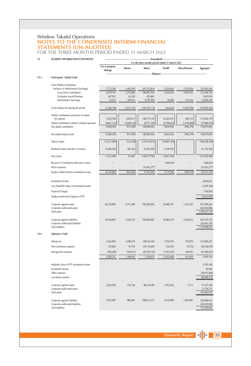# Window Takaful Operations<br>
NOTES TO THE CONDENSED INTERIM FINANCIAL **STATEMENTS (UN-AUDITED)** FOR THE THREE MONTHS PERIOD ENDED 31 MARCH 2022

| 14.  | SEGMENT INFORMATION (CONTINUED)                               | (Unaudited) --------------- |             |                                                          |                |               |                              |
|------|---------------------------------------------------------------|-----------------------------|-------------|----------------------------------------------------------|----------------|---------------|------------------------------|
|      |                                                               | Fire & property<br>damage   | Marine      | For the three months period ended 31 March 2021<br>Motor | Health         | Miscellaneous | Aggregate                    |
| 14.3 | Participants' Takaful Fund                                    |                             |             | (Rupees)                                                 |                |               |                              |
|      | <b>Gross Written Contribution</b>                             |                             |             |                                                          |                |               |                              |
|      | (inclusive of Administrative Surcharge)                       | 7,173,160                   | 3,445,939   | 307,121,814                                              | 3,476,424      | 2,192,926     | 323,410,263                  |
|      | <b>Gross Direct Contribution</b>                              | 6,570,192                   | 3,272,826   | 296,867,932                                              | 3,456,424      | 2,076,762     | 312,244,136                  |
|      | Facultative Inward Premium                                    | 547,935                     | 63,200      | 455,883                                                  |                |               | 1,067,018                    |
|      | Administrative Surcharge                                      | 55,033                      | 109,913     | 9,797,999                                                | 20,000         | 116,164       | 10,099,109                   |
|      | Gross Wakala Fees during the period                           | (3, 258, 190)               | (1,611,125) | (143, 593, 716)                                          | (365, 642)     | (1,050,709)   | (149, 879, 382)              |
|      | Takaful contribution earned net of wakala                     |                             |             |                                                          |                |               |                              |
|      | fee expense                                                   | 5,562,768                   | 1,692,617   | 148,775,124                                              | 16,625,551     | 200,110       | 172,856,170                  |
|      | Takaful contribution ceded to retakaful operators             | (8,661,133)                 | (2,608,126) | (8,771,104)                                              | (6,790,625)    | (1, 149, 488) | (27,980,476)                 |
|      | Net takaful contribution                                      | (3,098,365)                 | (915, 509)  | 140,004,020                                              | 9,834,926      | (949, 378)    | 144,875,694                  |
|      | Net underwriting income                                       | (3,098,365)                 | (915, 509)  | 140,004,020                                              | 9,834,926      | (949, 378)    | 144,875,694                  |
|      | Takaful claims                                                | (15, 217, 040)              | (123, 299)  | (170, 410, 823)                                          | (10, 807, 338) |               | (196, 558, 500)              |
|      | Retakaful claims and other recoveries                         | 14,004,544                  | 205,166     | 41,833,058                                               | 5,149,792      | ٠             | 61,192,560                   |
|      | Net Claims                                                    | (1,212,496)                 | 81,867      | (128, 577, 765)                                          | (5,657,546)    |               | (135, 365, 940)              |
|      | Reversal of Contribution deficiency reserve                   |                             |             |                                                          | (458, 016)     |               | (458, 016)                   |
|      | Direct expenses                                               |                             |             | (19, 363, 277)                                           | ٠              |               | (19, 363, 277)               |
|      | Surplus / (deficit) before investment income                  | (4,310,861)                 | (833, 642)  | (7,937,022)                                              | 3,719,364      | (949, 378)    | (10, 311, 539)               |
|      | Investment income                                             |                             |             |                                                          |                |               | 8,650,621                    |
|      | Less: Modarib's share of investment income                    |                             |             |                                                          |                |               |                              |
|      |                                                               |                             |             |                                                          |                |               | (2, 595, 186)                |
|      | <b>Financial Charges</b>                                      |                             |             |                                                          |                |               | (756, 803)                   |
|      | Surplus transferred to balance of PTF                         |                             |             |                                                          |                |               | (5,012,907)                  |
|      | Corporate segment assets<br>Corporate unallocated assets      | 66,124,890                  | 6,751,400   | 550,296,856                                              | 33,068,791     | 1,142,325     | 657,384,263<br>642,042,866   |
|      | <b>Total assets</b>                                           |                             |             |                                                          |                |               | 1,299,427,129                |
|      | Corporate segment liabilities                                 | 44,766,847                  | 2,526,319   | 769,805,065                                              | 52,884,219     | 2,364,652     | 872,347,102                  |
|      | Corporate unallocated liabilities<br><b>Total liabilities</b> |                             |             |                                                          |                |               | 320,661,530<br>1,193,008,632 |
|      |                                                               |                             |             |                                                          |                |               |                              |
| 14.4 | Operator's Fund                                               |                             |             |                                                          |                |               |                              |
|      | Wakala fee                                                    | 4,526,859                   | 1,490,510   | 128,033,244                                              | 1,742,574      | 176,070       | 135,969,257                  |
|      | Net Commission expense                                        | 129,862                     | 91,764      | (39, 174, 687)                                           | 216,359        | (9,372)       | (38, 746, 074)               |
|      | Management expenses                                           | (456, 200)                  | (183, 631)  | (85, 599, 724)                                           | (7, 391, 425)  | 246,961       | (93, 384, 019)               |
|      |                                                               | 4,200,521                   | 1,398,643   | 3,258,833                                                | (5, 432, 492)  | 413,659       | 3,839,164                    |
|      | Modarib's share of PTF investment income                      |                             |             |                                                          |                |               | 2,595,186                    |
|      | Investment income                                             |                             |             |                                                          |                |               | 40,943                       |
|      | Other expenses                                                |                             |             |                                                          |                |               | (26, 973, 668)               |
|      | Loss before taxation                                          |                             |             |                                                          |                |               | (20, 498, 375)               |
|      | Corporate segment assets                                      | 2,605,946                   | 233,126     | 86,510,389                                               | 1,872,630      | 5,113         | 91,227,204                   |
|      | Corporate unallocated assets                                  |                             |             |                                                          |                |               | 12,178,715                   |
|      | <b>Total assets</b>                                           |                             |             |                                                          |                |               | 103,405,919                  |
|      | Corporate segment liabilities                                 | 9,593,487                   | 886,681     | 280,915,371                                              | 2,610,000      | 1,063,983     | 295,069,523                  |
|      | Corporate unallocated liabilities                             |                             |             |                                                          |                |               | 420,439,940                  |
|      | <b>Total liabilities</b>                                      |                             |             |                                                          |                |               | 715,509,463                  |

Quarterly Report | 14 | 35 |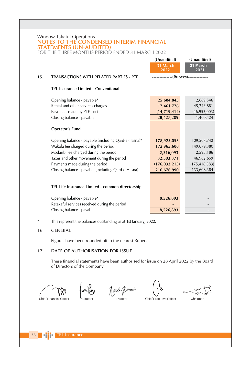## Window Takaful Operations NOTES TO THE CONDENSED INTERIM FINANCIAL **STATEMENTS (UN-AUDITED)**

FOR THE THREE MONTHS PERIOD ENDED 31 MARCH 2022

|     |                                                                             | (Unaudited)                          | (Unaudited)      |
|-----|-----------------------------------------------------------------------------|--------------------------------------|------------------|
|     |                                                                             | 31 March<br>2022                     | 31 March<br>2021 |
| 15. | TRANSACTIONS WITH RELATED PARTIES - PTF                                     | --------------(Rupees)-------------- |                  |
|     | TPL Insurance Limited - Conventional                                        |                                      |                  |
|     | Opening balance - payable*                                                  | 25,684,845                           | 2,669,546        |
|     | Rental and other services charges                                           | 17,461,776                           | 45,743,881       |
|     | Payments made by PTF - net                                                  | (14, 719, 412)                       | (46, 953, 003)   |
|     | Closing balance - payable                                                   | 28,427,209                           | 1,460,424        |
|     | Operator's Fund                                                             |                                      |                  |
|     | Opening balance - payable (including Qard-e-Hasna)*                         | 178,925,053                          | 109,567,742      |
|     | Wakala fee charged during the period                                        | 172,965,688                          | 149,879,380      |
|     | Modarib Fee charged during the period                                       | 2,316,093                            | 2,595,186        |
|     | Taxes and other movement during the period                                  | 32,503,371                           | 46,982,659       |
|     | Payments made during the period                                             | (176, 033, 215)                      | (175, 416, 583)  |
|     | Closing balance - payable (including Qard-e-Hasna)                          | 210,676,990                          | 133,608,384      |
|     | TPL Life Insurance Limited - common directorship                            |                                      |                  |
|     | Opening balance - payable*<br>Retakaful services received during the period | 8,526,893                            |                  |
|     | Closing balance - payable                                                   | 8,526,893                            |                  |

This represent the balances outstanding as at 1st January, 2022.  $\ast$ 

#### 16 **GENERAL**

Figures have been rounded off to the nearest Rupee.

#### DATE OF AUTHORISATION FOR ISSUE 17.

These financial statements have been authorised for issue on 28 April 2022 by the Board of Directors of the Company.

Chief Financial Officer

Jack Jennin Director

Chief Executive Officer

Chairman

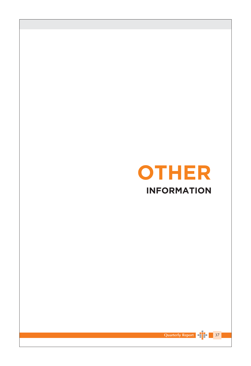



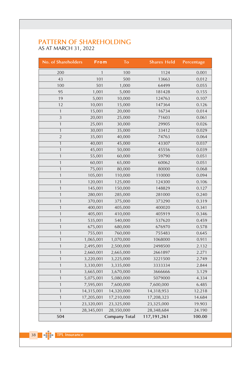# PATTERN OF SHAREHOLDING<br>AS AT MARCH 31, 2022

| <b>No. of Shareholders</b> | From       | To                   | <b>Shares Held</b> | Percentage |
|----------------------------|------------|----------------------|--------------------|------------|
| 200                        | 1          | 100                  | 1124               | 0.001      |
| 43                         | 101        | 500                  | 13663              | 0.012      |
| 100                        | 501        | 1,000                | 64499              | 0.055      |
| 95                         | 1,001      | 5,000                | 181428             | 0.155      |
| 19                         | 5,001      | 10,000               | 124763             | 0.107      |
| 12                         | 10,001     | 15,000               | 147364             | 0.126      |
| $\mathbf{1}$               | 15,001     | 20,000               | 16734              | 0.014      |
| 3                          | 20,001     | 25,000               | 71603              | 0.061      |
| $\mathbf{1}$               | 25,001     | 30,000               | 29905              | 0.026      |
| $\mathbf{1}$               | 30,001     | 35,000               | 33412              | 0.029      |
| $\overline{2}$             | 35,001     | 40,000               | 74763              | 0.064      |
| $\overline{1}$             | 40,001     | 45,000               | 43307              | 0.037      |
| $\mathbf{1}$               | 45,001     | 50,000               | 45556              | 0.039      |
| $\mathbf{1}$               | 55,001     | 60,000               | 59790              | 0.051      |
| $\mathbf{1}$               | 60,001     | 65,000               | 60062              | 0.051      |
| $\mathbf{1}$               | 75,001     | 80,000               | 80000              | 0.068      |
| $\mathbf{1}$               | 105,001    | 110,000              | 110000             | 0.094      |
| $\mathbf{1}$               | 120,001    | 125,000              | 124300             | 0.106      |
| $\mathbf{1}$               | 145,001    | 150,000              | 148829             | 0.127      |
| $\mathbf{1}$               | 280,001    | 285,000              | 281000             | 0.240      |
| $\mathbf{1}$               | 370,001    | 375,000              | 373290             | 0.319      |
| $\mathbf{1}$               | 400,001    | 405,000              | 400020             | 0.341      |
| $\mathbf{1}$               | 405,001    | 410,000              | 405919             | 0.346      |
| $\mathbf{1}$               | 535,001    | 540,000              | 537620             | 0.459      |
| $\mathbf{1}$               | 675,001    | 680,000              | 676970             | 0.578      |
| $\mathbf{1}$               | 755,001    | 760,000              | 755483             | 0.645      |
| $\mathbf{1}$               | 1,065,001  | 1,070,000            | 1068000            | 0.911      |
| $\mathbf{1}$               | 2,495,001  | 2,500,000            | 2498500            | 2.132      |
| $\mathbf{1}$               | 2,660,001  | 2,665,000            | 2661897            | 2.271      |
| $\mathbf{1}$               | 3,220,001  | 3,225,000            | 3221500            | 2.749      |
| $\mathbf{1}$               | 3,330,001  | 3,335,000            | 3333334            | 2.844      |
| $\mathbf{1}$               | 3,665,001  | 3,670,000            | 3666666            | 3.129      |
| $\mathbf{1}$               | 5,075,001  | 5,080,000            | 5079000            | 4.334      |
| $\mathbf{1}$               | 7,595,001  | 7,600,000            | 7,600,000          | 6.485      |
| $\mathbf{1}$               | 14,315,001 | 14,320,000           | 14,318,953         | 12.218     |
| $\mathbf{1}$               | 17,205,001 | 17,210,000           | 17,208,323         | 14.684     |
| $\mathbf{1}$               | 23,320,001 | 23,325,000           | 23,325,000         | 19.903     |
| 1                          | 28,345,001 | 28,350,000           | 28,348,684         | 24.190     |
| 504                        |            | <b>Company Total</b> | 117,191,261        | 100.00     |

38 **PHILE TPL Insurance**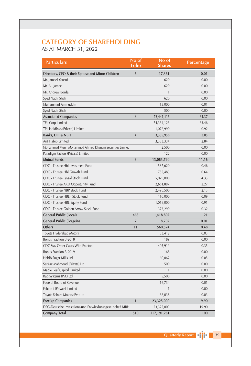# **CATEGORY OF SHAREHOLDING** AS AT MARCH 31, 2022

| <b>Particulars</b>                                         | No of<br><b>Folio</b> | No of<br><b>Shares</b> | Percentage |
|------------------------------------------------------------|-----------------------|------------------------|------------|
| Directors, CEO & their Spouse and Minor Children           | 6                     | 17,361                 | 0.01       |
| Mr. Jameel Yousuf                                          |                       | 620                    | 0.00       |
| Mr. Ali Jameel                                             |                       | 620                    | 0.00       |
| Mr. Andrew Borda                                           |                       | $\mathbf{1}$           | 0.00       |
| Syed Nadir Shah                                            |                       | 620                    | 0.00       |
| Muhammad Aminuddin                                         |                       | 15,000                 | 0.01       |
| Syed Nadir Shah                                            |                       | 500                    | 0.00       |
| <b>Associated Companies</b>                                | 8                     | 75,441,116             | 64.37      |
| TPL Corp Limited                                           |                       | 74,364,126             | 63.46      |
| TPL Holdings (Private) Limited                             |                       | 1,076,990              | 0.92       |
| Banks, DFI & NBFI                                          | $\overline{4}$        | 3,335,956              | 2.85       |
| Arif Habib Limited                                         |                       | 3,333,334              | 2.84       |
| Mohammad Munir Mohammad Ahmed Khanani Securities Limited   |                       | 2,500                  | 0.00       |
| Paradigm Factors (Private) Limited                         |                       | 122                    | 0.00       |
| <b>Mutual Funds</b>                                        | 8                     | 13,083,790             | 11.16      |
| CDC - Trustee Hbl Investment Fund                          |                       | 537,620                | 0.46       |
| CDC - Trustee Hbl Growth Fund                              |                       | 755,483                | 0.64       |
| CDC - Trustee Faysal Stock Fund                            |                       | 5,079,000              | 4.33       |
| CDC - Trustee AKD Opportunity Fund                         |                       | 2,661,897              | 2.27       |
| CDC - Trustee NBP Stock Fund                               |                       | 2,498,500              | 2.13       |
| CDC - Trustee HBL - Stock Fund                             |                       | 110,000                | 0.09       |
| CDC - Trustee HBL Equity Fund                              |                       | 1,068,000              | 0.91       |
| CDC - Trustee Golden Arrow Stock Fund                      |                       | 373,290                | 0.32       |
| <b>General Public (Local)</b>                              | 465                   | 1,418,807              | 1.21       |
| General Public (Forgein)                                   | $\overline{7}$        | 8,707                  | 0.01       |
| Others                                                     | 11                    | 560,524                | 0.48       |
| Toyota Hyderabad Motors                                    |                       | 33,412                 | 0.03       |
| Bonus Fraction B-2018                                      |                       | 189                    | 0.00       |
| CDC Stay Order Cases With Fracton                          |                       | 405,919                | 0.35       |
| Bonus Fraction B-2019                                      |                       | 168                    | 0.00       |
| Habib Sugar Mills Ltd                                      |                       | 60,062                 | 0.05       |
| Sarfraz Mahmood (Private) Ltd                              |                       | 500                    | 0.00       |
| Maple Leaf Capital Limited                                 |                       | $\mathbf{1}$           | 0.00       |
| Rao Systems (Pvt.) Ltd.                                    |                       | 5,500                  | 0.00       |
| Federal Board of Revenue                                   |                       | 16,734                 | 0.01       |
| Falcon-i (Private) Limited                                 |                       | 1                      | 0.00       |
| Toyota Sahara Motors (Pvt) Ltd                             |                       | 38,038                 | 0.03       |
| <b>Foreign Companies</b>                                   | $\mathbf{1}$          | 23,325,000             | 19.90      |
| DEG-Deutsche Investitions-und Entwicklungsgesellschaft MBH |                       | 23,325,000             | 19.90      |
| <b>Company Total</b>                                       | 510                   | 117,191,261            | 100        |